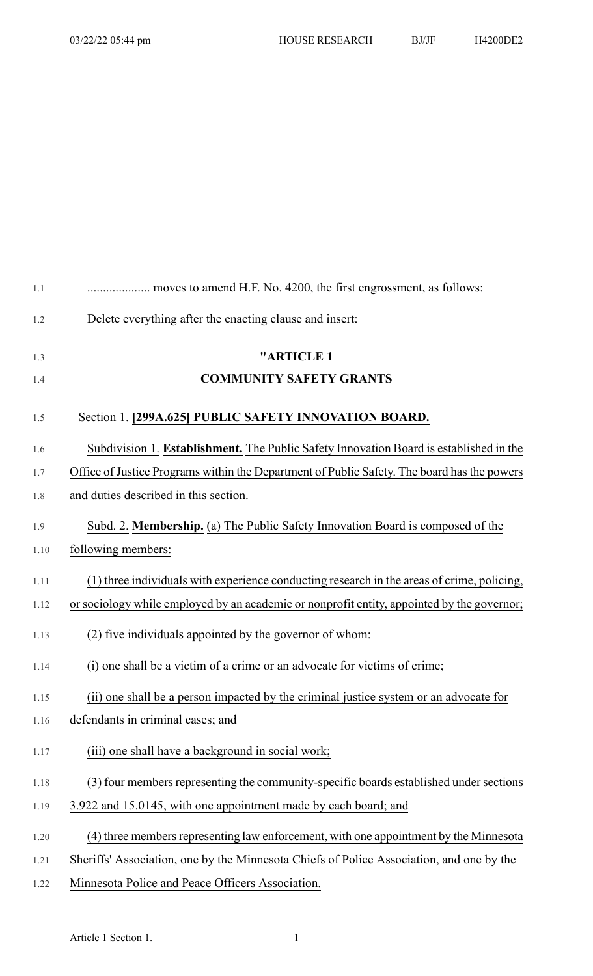| 1.1  |                                                                                             |
|------|---------------------------------------------------------------------------------------------|
| 1.2  | Delete everything after the enacting clause and insert:                                     |
| 1.3  | "ARTICLE 1                                                                                  |
| 1.4  | <b>COMMUNITY SAFETY GRANTS</b>                                                              |
| 1.5  | Section 1. [299A.625] PUBLIC SAFETY INNOVATION BOARD.                                       |
| 1.6  | Subdivision 1. Establishment. The Public Safety Innovation Board is established in the      |
| 1.7  | Office of Justice Programs within the Department of Public Safety. The board has the powers |
| 1.8  | and duties described in this section.                                                       |
| 1.9  | Subd. 2. Membership. (a) The Public Safety Innovation Board is composed of the              |
| 1.10 | following members:                                                                          |
| 1.11 | (1) three individuals with experience conducting research in the areas of crime, policing,  |
| 1.12 | or sociology while employed by an academic or nonprofit entity, appointed by the governor;  |
| 1.13 | (2) five individuals appointed by the governor of whom:                                     |
| 1.14 | (i) one shall be a victim of a crime or an advocate for victims of crime;                   |
| 1.15 | (ii) one shall be a person impacted by the criminal justice system or an advocate for       |
| 1.16 | defendants in criminal cases; and                                                           |
| 1.17 | (iii) one shall have a background in social work;                                           |
| 1.18 | (3) four members representing the community-specific boards established under sections      |
| 1.19 | 3.922 and 15.0145, with one appointment made by each board; and                             |
| 1.20 | (4) three members representing law enforcement, with one appointment by the Minnesota       |
| 1.21 | Sheriffs' Association, one by the Minnesota Chiefs of Police Association, and one by the    |

1.22 Minnesota Police and Peace Officers Association.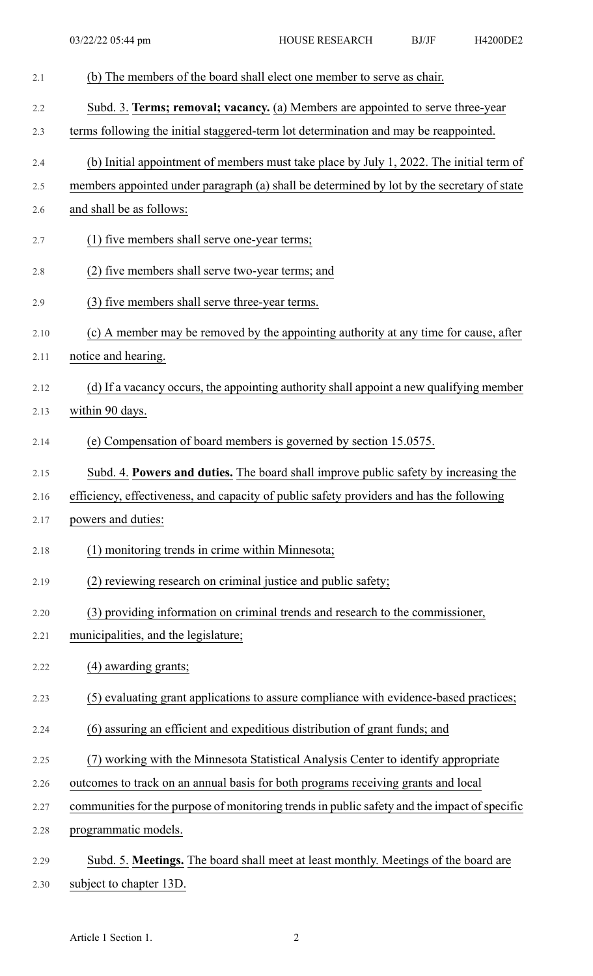| 2.1  | (b) The members of the board shall elect one member to serve as chair.                       |
|------|----------------------------------------------------------------------------------------------|
| 2.2  | Subd. 3. Terms; removal; vacancy. (a) Members are appointed to serve three-year              |
| 2.3  | terms following the initial staggered-term lot determination and may be reappointed.         |
| 2.4  | (b) Initial appointment of members must take place by July 1, 2022. The initial term of      |
| 2.5  | members appointed under paragraph (a) shall be determined by lot by the secretary of state   |
| 2.6  | and shall be as follows:                                                                     |
| 2.7  | (1) five members shall serve one-year terms;                                                 |
| 2.8  | (2) five members shall serve two-year terms; and                                             |
| 2.9  | (3) five members shall serve three-year terms.                                               |
| 2.10 | (c) A member may be removed by the appointing authority at any time for cause, after         |
| 2.11 | notice and hearing.                                                                          |
| 2.12 | (d) If a vacancy occurs, the appointing authority shall appoint a new qualifying member      |
| 2.13 | within 90 days.                                                                              |
| 2.14 | (e) Compensation of board members is governed by section 15.0575.                            |
| 2.15 | Subd. 4. Powers and duties. The board shall improve public safety by increasing the          |
| 2.16 | efficiency, effectiveness, and capacity of public safety providers and has the following     |
| 2.17 | powers and duties:                                                                           |
| 2.18 | (1) monitoring trends in crime within Minnesota;                                             |
| 2.19 | (2) reviewing research on criminal justice and public safety;                                |
| 2.20 | (3) providing information on criminal trends and research to the commissioner,               |
| 2.21 | municipalities, and the legislature;                                                         |
| 2.22 | (4) awarding grants;                                                                         |
| 2.23 | (5) evaluating grant applications to assure compliance with evidence-based practices;        |
| 2.24 | (6) assuring an efficient and expeditious distribution of grant funds; and                   |
| 2.25 | (7) working with the Minnesota Statistical Analysis Center to identify appropriate           |
| 2.26 | outcomes to track on an annual basis for both programs receiving grants and local            |
| 2.27 | communities for the purpose of monitoring trends in public safety and the impact of specific |
| 2.28 | programmatic models.                                                                         |
| 2.29 | Subd. 5. Meetings. The board shall meet at least monthly. Meetings of the board are          |
| 2.30 | subject to chapter 13D.                                                                      |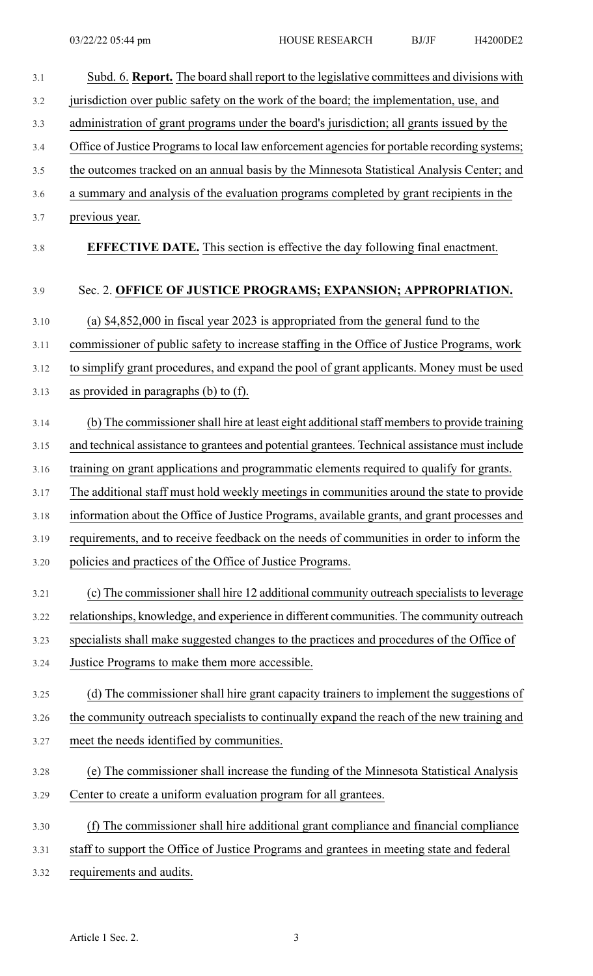| 3.1  | Subd. 6. Report. The board shall report to the legislative committees and divisions with       |
|------|------------------------------------------------------------------------------------------------|
| 3.2  | jurisdiction over public safety on the work of the board; the implementation, use, and         |
| 3.3  | administration of grant programs under the board's jurisdiction; all grants issued by the      |
| 3.4  | Office of Justice Programs to local law enforcement agencies for portable recording systems;   |
| 3.5  | the outcomes tracked on an annual basis by the Minnesota Statistical Analysis Center; and      |
| 3.6  | a summary and analysis of the evaluation programs completed by grant recipients in the         |
| 3.7  | previous year.                                                                                 |
| 3.8  | <b>EFFECTIVE DATE.</b> This section is effective the day following final enactment.            |
| 3.9  | Sec. 2. OFFICE OF JUSTICE PROGRAMS; EXPANSION; APPROPRIATION.                                  |
| 3.10 | (a) $$4,852,000$ in fiscal year 2023 is appropriated from the general fund to the              |
| 3.11 | commissioner of public safety to increase staffing in the Office of Justice Programs, work     |
| 3.12 | to simplify grant procedures, and expand the pool of grant applicants. Money must be used      |
| 3.13 | as provided in paragraphs $(b)$ to $(f)$ .                                                     |
| 3.14 | (b) The commissioner shall hire at least eight additional staff members to provide training    |
| 3.15 | and technical assistance to grantees and potential grantees. Technical assistance must include |
| 3.16 | training on grant applications and programmatic elements required to qualify for grants.       |
| 3.17 | The additional staff must hold weekly meetings in communities around the state to provide      |
| 3.18 | information about the Office of Justice Programs, available grants, and grant processes and    |
| 3.19 | requirements, and to receive feedback on the needs of communities in order to inform the       |
| 3.20 | policies and practices of the Office of Justice Programs.                                      |
| 3.21 | (c) The commissioner shall hire 12 additional community outreach specialists to leverage       |
| 3.22 | relationships, knowledge, and experience in different communities. The community outreach      |
| 3.23 | specialists shall make suggested changes to the practices and procedures of the Office of      |
| 3.24 | Justice Programs to make them more accessible.                                                 |
| 3.25 | (d) The commissioner shall hire grant capacity trainers to implement the suggestions of        |
| 3.26 | the community outreach specialists to continually expand the reach of the new training and     |
| 3.27 | meet the needs identified by communities.                                                      |
| 3.28 | (e) The commissioner shall increase the funding of the Minnesota Statistical Analysis          |
| 3.29 | Center to create a uniform evaluation program for all grantees.                                |
| 3.30 | (f) The commissioner shall hire additional grant compliance and financial compliance           |
| 3.31 | staff to support the Office of Justice Programs and grantees in meeting state and federal      |
| 3.32 | requirements and audits.                                                                       |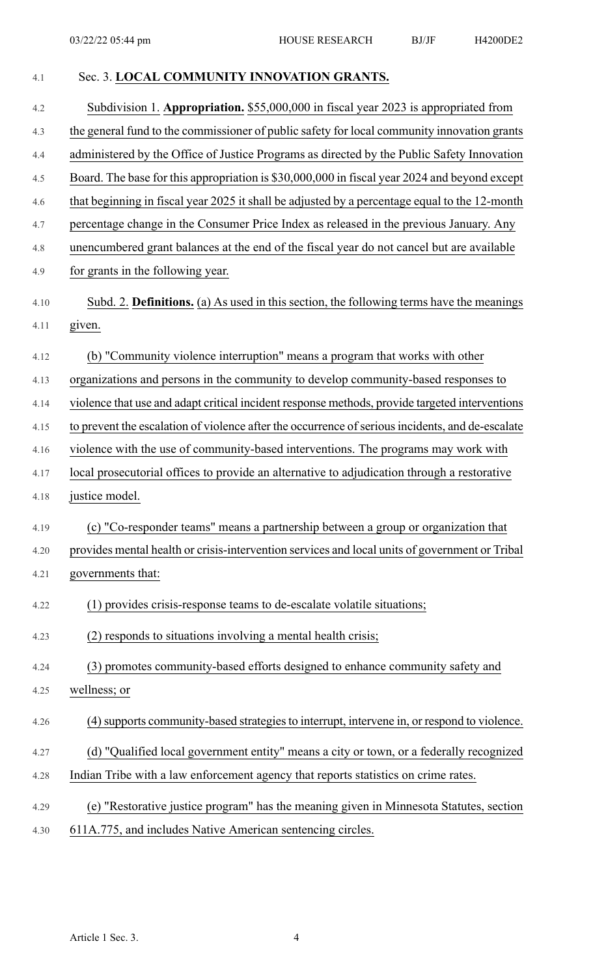| 4.1  | Sec. 3. LOCAL COMMUNITY INNOVATION GRANTS.                                                       |
|------|--------------------------------------------------------------------------------------------------|
| 4.2  | Subdivision 1. Appropriation. \$55,000,000 in fiscal year 2023 is appropriated from              |
| 4.3  | the general fund to the commissioner of public safety for local community innovation grants      |
| 4.4  | administered by the Office of Justice Programs as directed by the Public Safety Innovation       |
| 4.5  | Board. The base for this appropriation is \$30,000,000 in fiscal year 2024 and beyond except     |
| 4.6  | that beginning in fiscal year 2025 it shall be adjusted by a percentage equal to the 12-month    |
| 4.7  | percentage change in the Consumer Price Index as released in the previous January. Any           |
| 4.8  | unencumbered grant balances at the end of the fiscal year do not cancel but are available        |
| 4.9  | for grants in the following year.                                                                |
| 4.10 | Subd. 2. Definitions. (a) As used in this section, the following terms have the meanings         |
| 4.11 | given.                                                                                           |
| 4.12 | (b) "Community violence interruption" means a program that works with other                      |
| 4.13 | organizations and persons in the community to develop community-based responses to               |
| 4.14 | violence that use and adapt critical incident response methods, provide targeted interventions   |
| 4.15 | to prevent the escalation of violence after the occurrence of serious incidents, and de-escalate |
| 4.16 | violence with the use of community-based interventions. The programs may work with               |
| 4.17 | local prosecutorial offices to provide an alternative to adjudication through a restorative      |
| 4.18 | justice model.                                                                                   |
| 4.19 | (c) "Co-responder teams" means a partnership between a group or organization that                |
| 4.20 | provides mental health or crisis-intervention services and local units of government or Tribal   |
| 4.21 | governments that:                                                                                |
| 4.22 | (1) provides crisis-response teams to de-escalate volatile situations;                           |
| 4.23 | (2) responds to situations involving a mental health crisis;                                     |
| 4.24 | (3) promotes community-based efforts designed to enhance community safety and                    |
| 4.25 | wellness; or                                                                                     |
| 4.26 | (4) supports community-based strategies to interrupt, intervene in, or respond to violence.      |
| 4.27 | (d) "Qualified local government entity" means a city or town, or a federally recognized          |
| 4.28 | Indian Tribe with a law enforcement agency that reports statistics on crime rates.               |
| 4.29 | (e) "Restorative justice program" has the meaning given in Minnesota Statutes, section           |
| 4.30 | 611A.775, and includes Native American sentencing circles.                                       |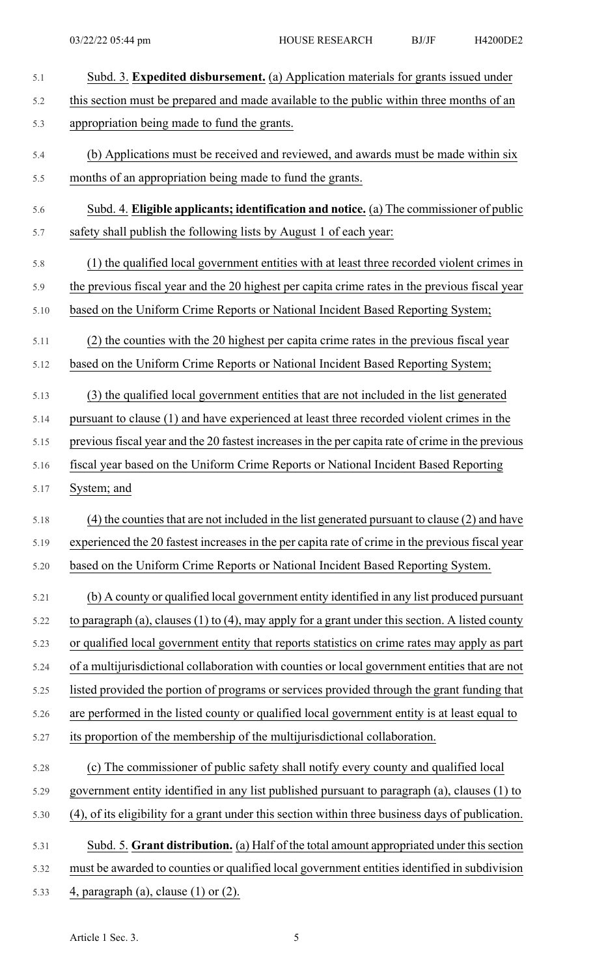| 5.1  | Subd. 3. Expedited disbursement. (a) Application materials for grants issued under                |
|------|---------------------------------------------------------------------------------------------------|
| 5.2  | this section must be prepared and made available to the public within three months of an          |
| 5.3  | appropriation being made to fund the grants.                                                      |
| 5.4  | (b) Applications must be received and reviewed, and awards must be made within six                |
| 5.5  | months of an appropriation being made to fund the grants.                                         |
| 5.6  | Subd. 4. Eligible applicants; identification and notice. (a) The commissioner of public           |
| 5.7  | safety shall publish the following lists by August 1 of each year:                                |
| 5.8  | (1) the qualified local government entities with at least three recorded violent crimes in        |
| 5.9  | the previous fiscal year and the 20 highest per capita crime rates in the previous fiscal year    |
| 5.10 | based on the Uniform Crime Reports or National Incident Based Reporting System;                   |
| 5.11 | (2) the counties with the 20 highest per capita crime rates in the previous fiscal year           |
| 5.12 | based on the Uniform Crime Reports or National Incident Based Reporting System;                   |
| 5.13 | (3) the qualified local government entities that are not included in the list generated           |
| 5.14 | pursuant to clause (1) and have experienced at least three recorded violent crimes in the         |
| 5.15 | previous fiscal year and the 20 fastest increases in the per capita rate of crime in the previous |
| 5.16 | fiscal year based on the Uniform Crime Reports or National Incident Based Reporting               |
| 5.17 | System; and                                                                                       |
| 5.18 | (4) the counties that are not included in the list generated pursuant to clause (2) and have      |
| 5.19 | experienced the 20 fastest increases in the per capita rate of crime in the previous fiscal year  |
| 5.20 | based on the Uniform Crime Reports or National Incident Based Reporting System.                   |
| 5.21 | (b) A county or qualified local government entity identified in any list produced pursuant        |
| 5.22 | to paragraph (a), clauses (1) to (4), may apply for a grant under this section. A listed county   |
| 5.23 | or qualified local government entity that reports statistics on crime rates may apply as part     |
| 5.24 | of a multijurisdictional collaboration with counties or local government entities that are not    |
| 5.25 | listed provided the portion of programs or services provided through the grant funding that       |
| 5.26 | are performed in the listed county or qualified local government entity is at least equal to      |
| 5.27 | its proportion of the membership of the multijurisdictional collaboration.                        |
| 5.28 | (c) The commissioner of public safety shall notify every county and qualified local               |
| 5.29 | government entity identified in any list published pursuant to paragraph (a), clauses (1) to      |
| 5.30 | (4), of its eligibility for a grant under this section within three business days of publication. |
| 5.31 | Subd. 5. Grant distribution. (a) Half of the total amount appropriated under this section         |
| 5.32 | must be awarded to counties or qualified local government entities identified in subdivision      |
| 5.33 | 4, paragraph (a), clause $(1)$ or $(2)$ .                                                         |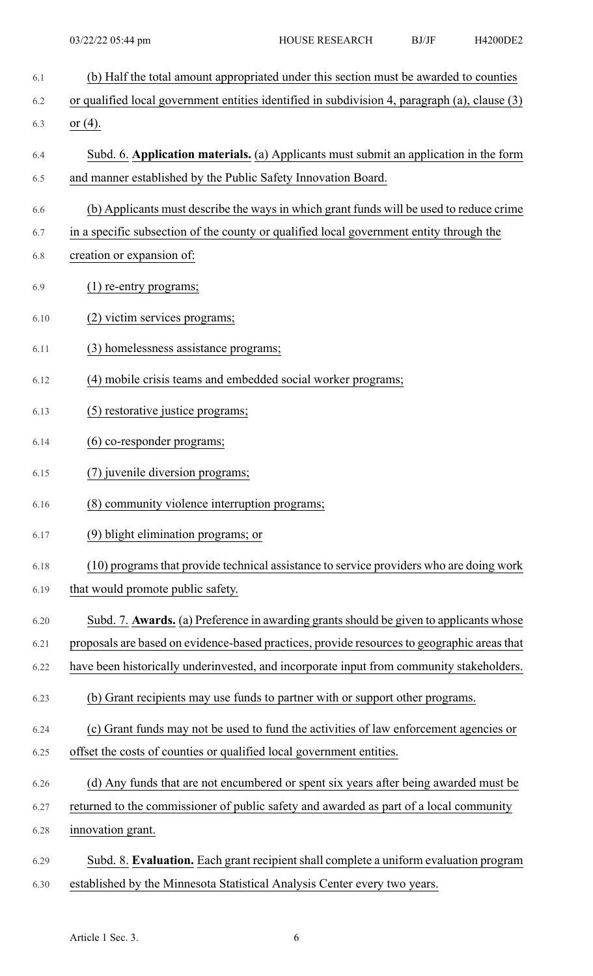- 6.1 (b) Half the total amount appropriated under this section must be awarded to counties
- 6.2 or qualified local government entities identified in subdivision 4, paragraph (a), clause (3)
- 6.3 or (4).
- 6.4 Subd. 6. **Application materials.** (a) Applicants must submit an application in the form 6.5 and manner established by the Public Safety Innovation Board.
- 6.6 (b) Applicants must describe the ways in which grant funds will be used to reduce crime
- 6.7 in a specific subsection of the county or qualified local government entity through the
- 6.8 creation or expansion of:
- 6.9 (1) re-entry programs;
- 6.10 (2) victim services programs;
- 6.11 (3) homelessness assistance programs;
- 6.12 (4) mobile crisis teams and embedded social worker programs;
- 6.13 (5) restorative justice programs;
- 6.14 (6) co-responder programs;
- 6.15 (7) juvenile diversion programs;
- 6.16 (8) community violence interruption programs;
- 6.17 (9) blight elimination programs; or
- 6.18 (10) programs that provide technical assistance to service providers who are doing work
- 6.19 that would promote public safety.
- 6.20 Subd. 7. **Awards.** (a) Preference in awarding grantsshould be given to applicants whose
- 6.21 proposals are based on evidence-based practices, provide resourcesto geographic areasthat
- 6.22 have been historically underinvested, and incorporate input from community stakeholders.
- 6.23 (b) Grant recipients may use funds to partner with or support other programs.
- 6.24 (c) Grant funds may not be used to fund the activities of law enforcement agencies or
- 6.25 offset the costs of counties or qualified local government entities.
- 6.26 (d) Any funds that are not encumbered or spent six years after being awarded must be
- 6.27 returned to the commissioner of public safety and awarded as part of a local community
- 6.28 innovation grant.
- 6.29 Subd. 8. **Evaluation.** Each grant recipient shall complete a uniform evaluation program 6.30 established by the Minnesota Statistical Analysis Center every two years.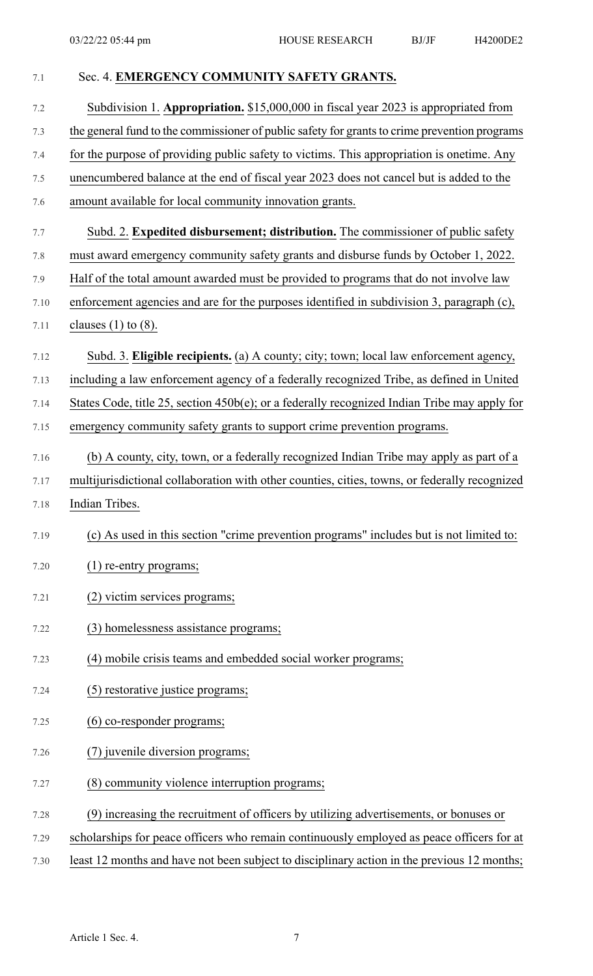| 7.1  | Sec. 4. EMERGENCY COMMUNITY SAFETY GRANTS.                                                      |
|------|-------------------------------------------------------------------------------------------------|
| 7.2  | Subdivision 1. Appropriation. \$15,000,000 in fiscal year 2023 is appropriated from             |
| 7.3  | the general fund to the commissioner of public safety for grants to crime prevention programs   |
| 7.4  | for the purpose of providing public safety to victims. This appropriation is onetime. Any       |
| 7.5  | unencumbered balance at the end of fiscal year 2023 does not cancel but is added to the         |
| 7.6  | amount available for local community innovation grants.                                         |
| 7.7  | Subd. 2. Expedited disbursement; distribution. The commissioner of public safety                |
| 7.8  | must award emergency community safety grants and disburse funds by October 1, 2022.             |
| 7.9  | Half of the total amount awarded must be provided to programs that do not involve law           |
| 7.10 | enforcement agencies and are for the purposes identified in subdivision 3, paragraph (c),       |
| 7.11 | clauses $(1)$ to $(8)$ .                                                                        |
| 7.12 | Subd. 3. Eligible recipients. (a) A county; city; town; local law enforcement agency,           |
| 7.13 | including a law enforcement agency of a federally recognized Tribe, as defined in United        |
| 7.14 | States Code, title 25, section $450b(e)$ ; or a federally recognized Indian Tribe may apply for |
| 7.15 | emergency community safety grants to support crime prevention programs.                         |
| 7.16 | (b) A county, city, town, or a federally recognized Indian Tribe may apply as part of a         |
| 7.17 | multijurisdictional collaboration with other counties, cities, towns, or federally recognized   |
| 7.18 | Indian Tribes.                                                                                  |
| 7.19 | (c) As used in this section "crime prevention programs" includes but is not limited to:         |
| 7.20 | (1) re-entry programs;                                                                          |
| 7.21 | (2) victim services programs;                                                                   |
| 7.22 | (3) homelessness assistance programs;                                                           |
| 7.23 | (4) mobile crisis teams and embedded social worker programs;                                    |
| 7.24 | (5) restorative justice programs;                                                               |
| 7.25 | (6) co-responder programs;                                                                      |
| 7.26 | (7) juvenile diversion programs;                                                                |
| 7.27 | (8) community violence interruption programs;                                                   |
| 7.28 | (9) increasing the recruitment of officers by utilizing advertisements, or bonuses or           |
| 7.29 | scholarships for peace officers who remain continuously employed as peace officers for at       |

7.30 least 12 months and have not been subject to disciplinary action in the previous 12 months;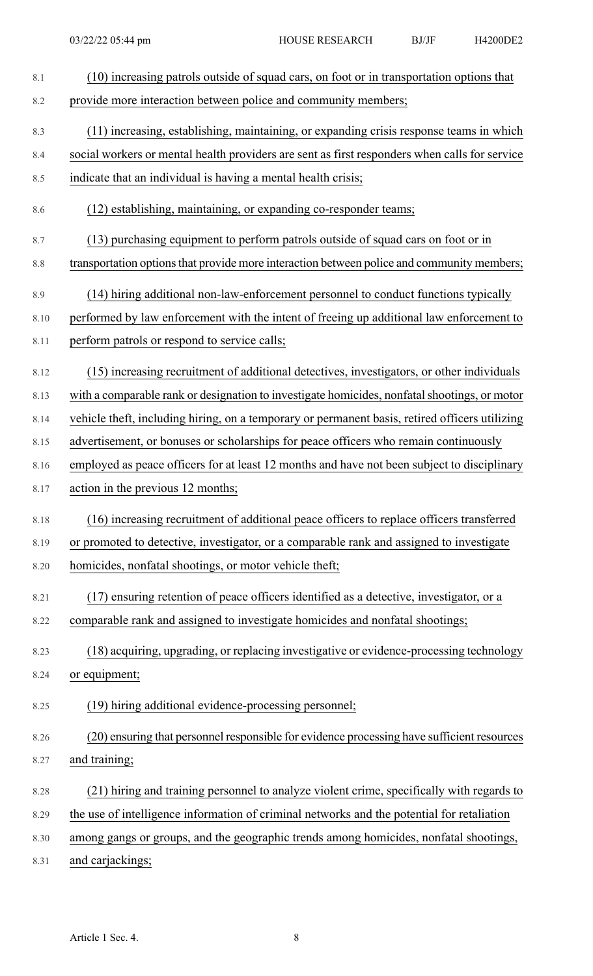| 8.1  | (10) increasing patrols outside of squad cars, on foot or in transportation options that       |
|------|------------------------------------------------------------------------------------------------|
| 8.2  | provide more interaction between police and community members;                                 |
| 8.3  | (11) increasing, establishing, maintaining, or expanding crisis response teams in which        |
| 8.4  | social workers or mental health providers are sent as first responders when calls for service  |
| 8.5  | indicate that an individual is having a mental health crisis;                                  |
| 8.6  | (12) establishing, maintaining, or expanding co-responder teams;                               |
| 8.7  | (13) purchasing equipment to perform patrols outside of squad cars on foot or in               |
| 8.8  | transportation options that provide more interaction between police and community members;     |
| 8.9  | (14) hiring additional non-law-enforcement personnel to conduct functions typically            |
| 8.10 | performed by law enforcement with the intent of freeing up additional law enforcement to       |
| 8.11 | perform patrols or respond to service calls;                                                   |
| 8.12 | (15) increasing recruitment of additional detectives, investigators, or other individuals      |
| 8.13 | with a comparable rank or designation to investigate homicides, nonfatal shootings, or motor   |
| 8.14 | vehicle theft, including hiring, on a temporary or permanent basis, retired officers utilizing |
| 8.15 | advertisement, or bonuses or scholarships for peace officers who remain continuously           |
| 8.16 | employed as peace officers for at least 12 months and have not been subject to disciplinary    |
| 8.17 | action in the previous 12 months;                                                              |
| 8.18 | (16) increasing recruitment of additional peace officers to replace officers transferred       |
| 8.19 | or promoted to detective, investigator, or a comparable rank and assigned to investigate       |
| 8.20 | homicides, nonfatal shootings, or motor vehicle theft;                                         |
| 8.21 | (17) ensuring retention of peace officers identified as a detective, investigator, or a        |
| 8.22 | comparable rank and assigned to investigate homicides and nonfatal shootings;                  |
| 8.23 | (18) acquiring, upgrading, or replacing investigative or evidence-processing technology        |
| 8.24 | or equipment;                                                                                  |
| 8.25 | (19) hiring additional evidence-processing personnel;                                          |
| 8.26 | (20) ensuring that personnel responsible for evidence processing have sufficient resources     |
| 8.27 | and training;                                                                                  |
| 8.28 | (21) hiring and training personnel to analyze violent crime, specifically with regards to      |
| 8.29 | the use of intelligence information of criminal networks and the potential for retaliation     |
| 8.30 | among gangs or groups, and the geographic trends among homicides, nonfatal shootings,          |
| 8.31 | and carjackings;                                                                               |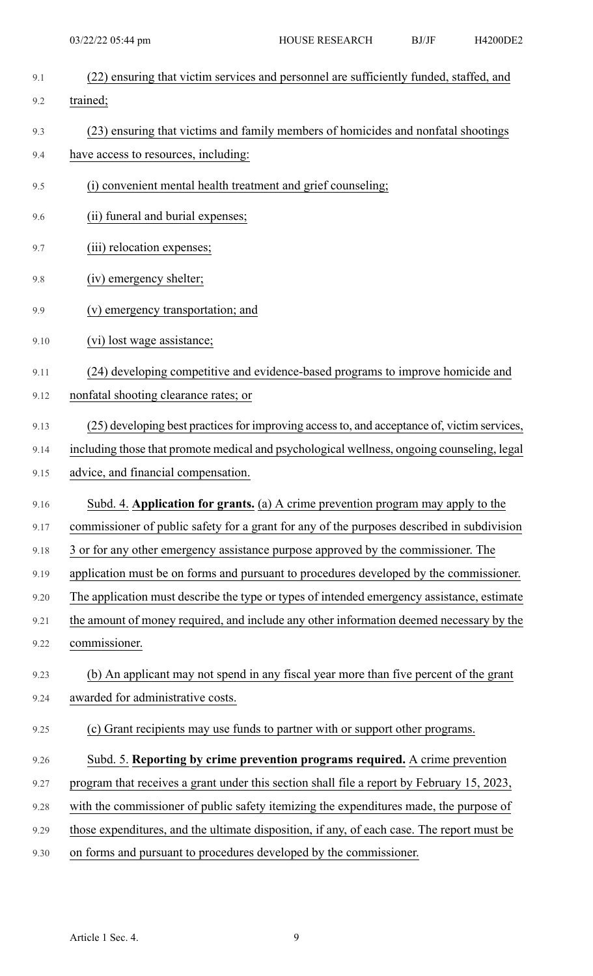| 9.1  | (22) ensuring that victim services and personnel are sufficiently funded, staffed, and      |
|------|---------------------------------------------------------------------------------------------|
| 9.2  | trained;                                                                                    |
| 9.3  | (23) ensuring that victims and family members of homicides and nonfatal shootings           |
| 9.4  | have access to resources, including:                                                        |
| 9.5  | (i) convenient mental health treatment and grief counseling;                                |
| 9.6  | (ii) funeral and burial expenses;                                                           |
| 9.7  | (iii) relocation expenses;                                                                  |
| 9.8  | (iv) emergency shelter;                                                                     |
| 9.9  | (v) emergency transportation; and                                                           |
| 9.10 | (vi) lost wage assistance;                                                                  |
| 9.11 | (24) developing competitive and evidence-based programs to improve homicide and             |
| 9.12 | nonfatal shooting clearance rates; or                                                       |
| 9.13 | (25) developing best practices for improving access to, and acceptance of, victim services, |
| 9.14 | including those that promote medical and psychological wellness, ongoing counseling, legal  |
| 9.15 | advice, and financial compensation.                                                         |
| 9.16 | Subd. 4. Application for grants. (a) A crime prevention program may apply to the            |
| 9.17 | commissioner of public safety for a grant for any of the purposes described in subdivision  |
| 9.18 | 3 or for any other emergency assistance purpose approved by the commissioner. The           |
| 9.19 | application must be on forms and pursuant to procedures developed by the commissioner.      |
| 9.20 | The application must describe the type or types of intended emergency assistance, estimate  |
| 9.21 | the amount of money required, and include any other information deemed necessary by the     |
| 9.22 | commissioner.                                                                               |
| 9.23 | (b) An applicant may not spend in any fiscal year more than five percent of the grant       |
| 9.24 | awarded for administrative costs.                                                           |
| 9.25 | (c) Grant recipients may use funds to partner with or support other programs.               |
| 9.26 | Subd. 5. Reporting by crime prevention programs required. A crime prevention                |
| 9.27 | program that receives a grant under this section shall file a report by February 15, 2023,  |

9.28 with the commissioner of public safety itemizing the expenditures made, the purpose of

9.29 those expenditures, and the ultimate disposition, if any, of each case. The report must be

9.30 on forms and pursuant to procedures developed by the commissioner.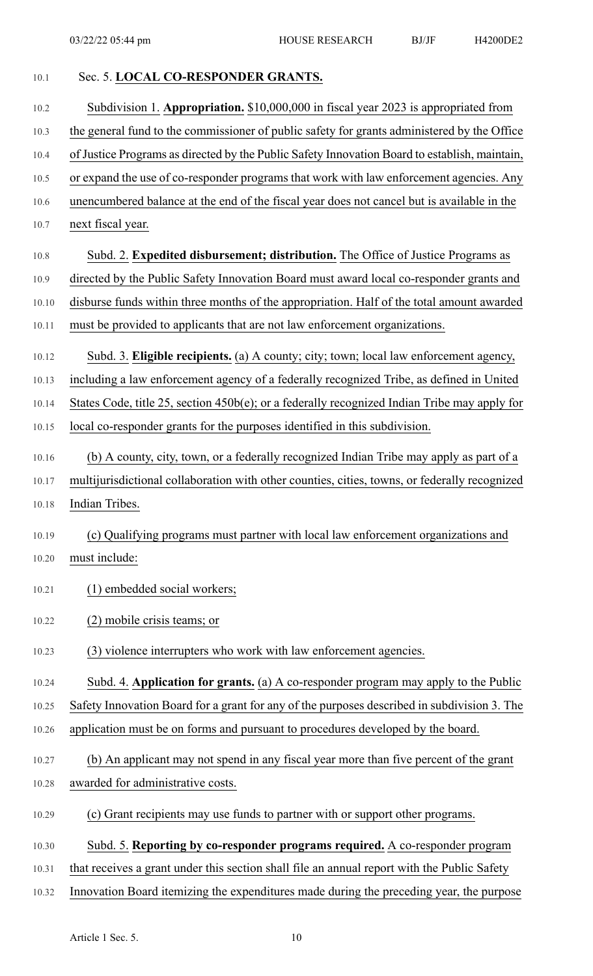| 10.1  | Sec. 5. LOCAL CO-RESPONDER GRANTS.                                                            |
|-------|-----------------------------------------------------------------------------------------------|
| 10.2  | Subdivision 1. Appropriation. \$10,000,000 in fiscal year 2023 is appropriated from           |
| 10.3  | the general fund to the commissioner of public safety for grants administered by the Office   |
| 10.4  | of Justice Programs as directed by the Public Safety Innovation Board to establish, maintain, |
| 10.5  | or expand the use of co-responder programs that work with law enforcement agencies. Any       |
| 10.6  | unencumbered balance at the end of the fiscal year does not cancel but is available in the    |
| 10.7  | next fiscal year.                                                                             |
| 10.8  | Subd. 2. Expedited disbursement; distribution. The Office of Justice Programs as              |
| 10.9  | directed by the Public Safety Innovation Board must award local co-responder grants and       |
| 10.10 | disburse funds within three months of the appropriation. Half of the total amount awarded     |
| 10.11 | must be provided to applicants that are not law enforcement organizations.                    |
| 10.12 | Subd. 3. Eligible recipients. (a) A county; city; town; local law enforcement agency,         |
| 10.13 | including a law enforcement agency of a federally recognized Tribe, as defined in United      |
| 10.14 | States Code, title 25, section 450b(e); or a federally recognized Indian Tribe may apply for  |
| 10.15 | local co-responder grants for the purposes identified in this subdivision.                    |
| 10.16 | (b) A county, city, town, or a federally recognized Indian Tribe may apply as part of a       |
| 10.17 | multijurisdictional collaboration with other counties, cities, towns, or federally recognized |
| 10.18 | Indian Tribes.                                                                                |
| 10.19 | (c) Qualifying programs must partner with local law enforcement organizations and             |
| 10.20 | must include:                                                                                 |
| 10.21 | (1) embedded social workers;                                                                  |
| 10.22 | (2) mobile crisis teams; or                                                                   |
| 10.23 | (3) violence interrupters who work with law enforcement agencies.                             |
| 10.24 | Subd. 4. Application for grants. (a) A co-responder program may apply to the Public           |
| 10.25 | Safety Innovation Board for a grant for any of the purposes described in subdivision 3. The   |
| 10.26 | application must be on forms and pursuant to procedures developed by the board.               |
| 10.27 | (b) An applicant may not spend in any fiscal year more than five percent of the grant         |
| 10.28 | awarded for administrative costs.                                                             |
| 10.29 | (c) Grant recipients may use funds to partner with or support other programs.                 |
| 10.30 | Subd. 5. Reporting by co-responder programs required. A co-responder program                  |
| 10.31 | that receives a grant under this section shall file an annual report with the Public Safety   |
| 10.32 | Innovation Board itemizing the expenditures made during the preceding year, the purpose       |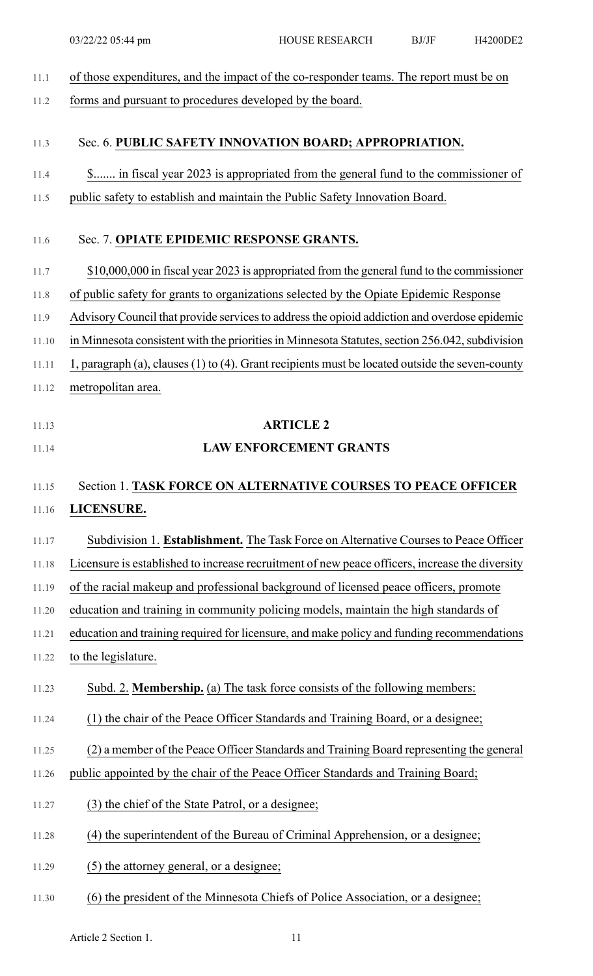| 11.1  | of those expenditures, and the impact of the co-responder teams. The report must be on          |
|-------|-------------------------------------------------------------------------------------------------|
| 11.2  | forms and pursuant to procedures developed by the board.                                        |
| 11.3  | Sec. 6. PUBLIC SAFETY INNOVATION BOARD; APPROPRIATION.                                          |
| 11.4  | \$ in fiscal year 2023 is appropriated from the general fund to the commissioner of             |
| 11.5  | public safety to establish and maintain the Public Safety Innovation Board.                     |
| 11.6  | Sec. 7. OPIATE EPIDEMIC RESPONSE GRANTS.                                                        |
| 11.7  | \$10,000,000 in fiscal year 2023 is appropriated from the general fund to the commissioner      |
| 11.8  | of public safety for grants to organizations selected by the Opiate Epidemic Response           |
| 11.9  | Advisory Council that provide services to address the opioid addiction and overdose epidemic    |
| 11.10 | in Minnesota consistent with the priorities in Minnesota Statutes, section 256.042, subdivision |
| 11.11 | 1, paragraph (a), clauses (1) to (4). Grant recipients must be located outside the seven-county |
| 11.12 | metropolitan area.                                                                              |
| 11.13 | <b>ARTICLE 2</b>                                                                                |
| 11.14 | <b>LAW ENFORCEMENT GRANTS</b>                                                                   |
|       |                                                                                                 |
|       |                                                                                                 |
| 11.15 | Section 1. TASK FORCE ON ALTERNATIVE COURSES TO PEACE OFFICER                                   |
| 11.16 | LICENSURE.                                                                                      |
| 11.17 | Subdivision 1. Establishment. The Task Force on Alternative Courses to Peace Officer            |
| 11.18 | Licensure is established to increase recruitment of new peace officers, increase the diversity  |
| 11.19 | of the racial makeup and professional background of licensed peace officers, promote            |
| 11.20 | education and training in community policing models, maintain the high standards of             |
| 11.21 | education and training required for licensure, and make policy and funding recommendations      |
| 11.22 | to the legislature.                                                                             |
| 11.23 | Subd. 2. Membership. (a) The task force consists of the following members:                      |
| 11.24 | (1) the chair of the Peace Officer Standards and Training Board, or a designee;                 |
| 11.25 | (2) a member of the Peace Officer Standards and Training Board representing the general         |
| 11.26 | public appointed by the chair of the Peace Officer Standards and Training Board;                |
| 11.27 | (3) the chief of the State Patrol, or a designee;                                               |
| 11.28 | (4) the superintendent of the Bureau of Criminal Apprehension, or a designee;                   |
| 11.29 | (5) the attorney general, or a designee;                                                        |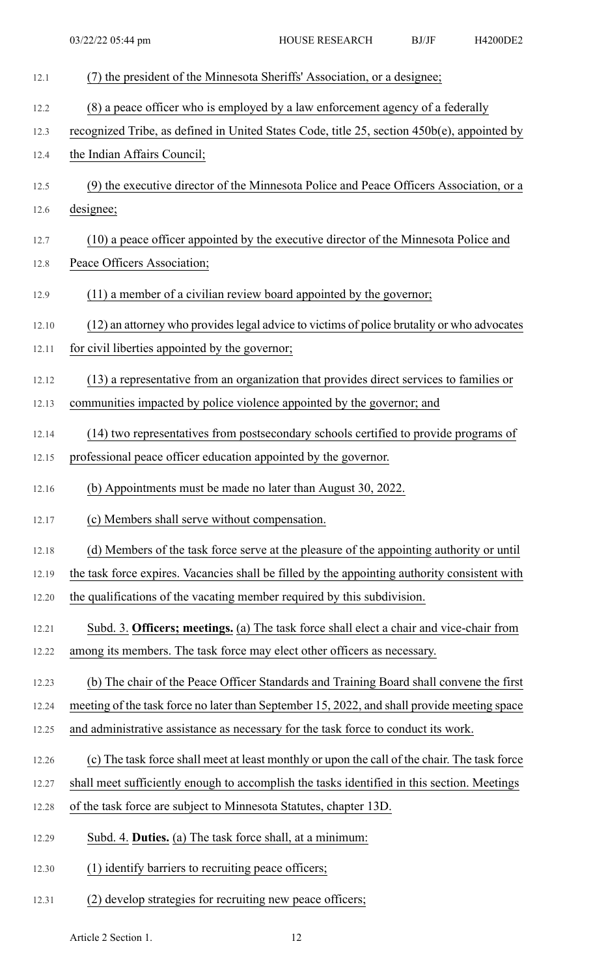| 12.1  | (7) the president of the Minnesota Sheriffs' Association, or a designee;                      |
|-------|-----------------------------------------------------------------------------------------------|
| 12.2  | (8) a peace officer who is employed by a law enforcement agency of a federally                |
| 12.3  | recognized Tribe, as defined in United States Code, title 25, section 450b(e), appointed by   |
| 12.4  | the Indian Affairs Council;                                                                   |
| 12.5  | (9) the executive director of the Minnesota Police and Peace Officers Association, or a       |
| 12.6  | designee;                                                                                     |
| 12.7  | (10) a peace officer appointed by the executive director of the Minnesota Police and          |
| 12.8  | Peace Officers Association;                                                                   |
| 12.9  | (11) a member of a civilian review board appointed by the governor;                           |
| 12.10 | (12) an attorney who provides legal advice to victims of police brutality or who advocates    |
| 12.11 | for civil liberties appointed by the governor;                                                |
| 12.12 | (13) a representative from an organization that provides direct services to families or       |
| 12.13 | communities impacted by police violence appointed by the governor; and                        |
| 12.14 | (14) two representatives from postsecondary schools certified to provide programs of          |
| 12.15 | professional peace officer education appointed by the governor.                               |
| 12.16 | (b) Appointments must be made no later than August 30, 2022.                                  |
| 12.17 | (c) Members shall serve without compensation.                                                 |
| 12.18 | (d) Members of the task force serve at the pleasure of the appointing authority or until      |
| 12.19 | the task force expires. Vacancies shall be filled by the appointing authority consistent with |
| 12.20 | the qualifications of the vacating member required by this subdivision.                       |
| 12.21 | Subd. 3. Officers; meetings. (a) The task force shall elect a chair and vice-chair from       |
| 12.22 | among its members. The task force may elect other officers as necessary.                      |
| 12.23 | (b) The chair of the Peace Officer Standards and Training Board shall convene the first       |
| 12.24 | meeting of the task force no later than September 15, 2022, and shall provide meeting space   |
| 12.25 | and administrative assistance as necessary for the task force to conduct its work.            |
| 12.26 | (c) The task force shall meet at least monthly or upon the call of the chair. The task force  |
| 12.27 | shall meet sufficiently enough to accomplish the tasks identified in this section. Meetings   |
| 12.28 | of the task force are subject to Minnesota Statutes, chapter 13D.                             |
| 12.29 | Subd. 4. Duties. (a) The task force shall, at a minimum:                                      |
| 12.30 | (1) identify barriers to recruiting peace officers;                                           |
| 12.31 | (2) develop strategies for recruiting new peace officers;                                     |

Article 2 Section 1. 12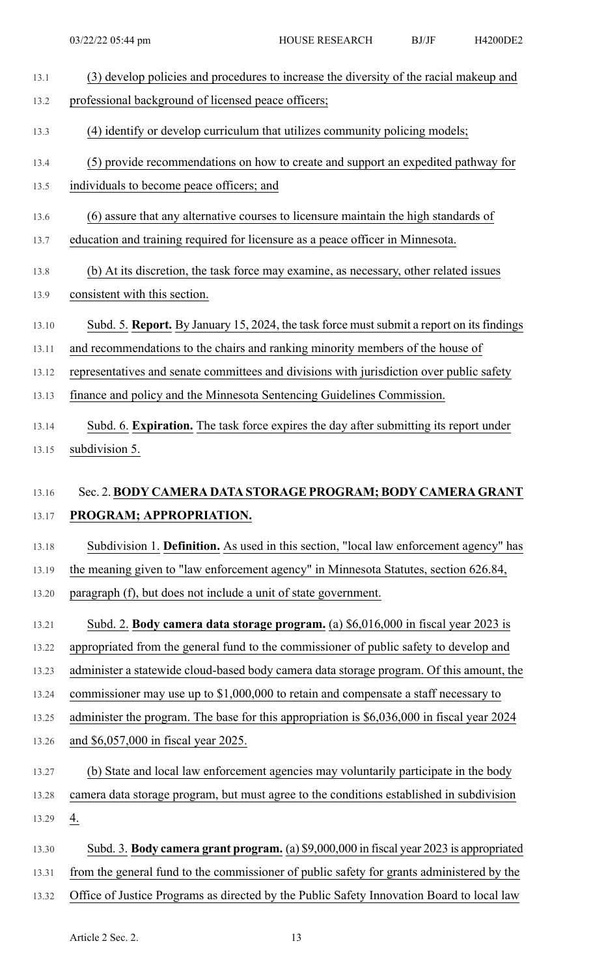| 13.1  | (3) develop policies and procedures to increase the diversity of the racial makeup and     |
|-------|--------------------------------------------------------------------------------------------|
| 13.2  | professional background of licensed peace officers;                                        |
| 13.3  | (4) identify or develop curriculum that utilizes community policing models;                |
| 13.4  | (5) provide recommendations on how to create and support an expedited pathway for          |
| 13.5  | individuals to become peace officers; and                                                  |
| 13.6  | (6) assure that any alternative courses to licensure maintain the high standards of        |
| 13.7  | education and training required for licensure as a peace officer in Minnesota.             |
| 13.8  | (b) At its discretion, the task force may examine, as necessary, other related issues      |
| 13.9  | consistent with this section.                                                              |
| 13.10 | Subd. 5. Report. By January 15, 2024, the task force must submit a report on its findings  |
| 13.11 | and recommendations to the chairs and ranking minority members of the house of             |
| 13.12 | representatives and senate committees and divisions with jurisdiction over public safety   |
| 13.13 | finance and policy and the Minnesota Sentencing Guidelines Commission.                     |
| 13.14 | Subd. 6. Expiration. The task force expires the day after submitting its report under      |
| 13.15 | subdivision 5.                                                                             |
|       |                                                                                            |
| 13.16 | Sec. 2. BODY CAMERA DATA STORAGE PROGRAM; BODY CAMERA GRANT                                |
| 13.17 | PROGRAM; APPROPRIATION.                                                                    |
| 13.18 | Subdivision 1. Definition. As used in this section, "local law enforcement agency" has     |
| 13.19 | the meaning given to "law enforcement agency" in Minnesota Statutes, section 626.84,       |
| 13.20 | paragraph (f), but does not include a unit of state government.                            |
| 13.21 | Subd. 2. Body camera data storage program. (a) \$6,016,000 in fiscal year 2023 is          |
| 13.22 | appropriated from the general fund to the commissioner of public safety to develop and     |
| 13.23 | administer a statewide cloud-based body camera data storage program. Of this amount, the   |
| 13.24 | commissioner may use up to \$1,000,000 to retain and compensate a staff necessary to       |
| 13.25 | administer the program. The base for this appropriation is \$6,036,000 in fiscal year 2024 |
| 13.26 | and \$6,057,000 in fiscal year 2025.                                                       |
| 13.27 | (b) State and local law enforcement agencies may voluntarily participate in the body       |
| 13.28 | camera data storage program, but must agree to the conditions established in subdivision   |
| 13.29 | $\underline{4}$ .                                                                          |
| 13.30 | Subd. 3. Body camera grant program. (a) \$9,000,000 in fiscal year 2023 is appropriated    |
| 13.31 | from the general fund to the commissioner of public safety for grants administered by the  |
| 13.32 | Office of Justice Programs as directed by the Public Safety Innovation Board to local law  |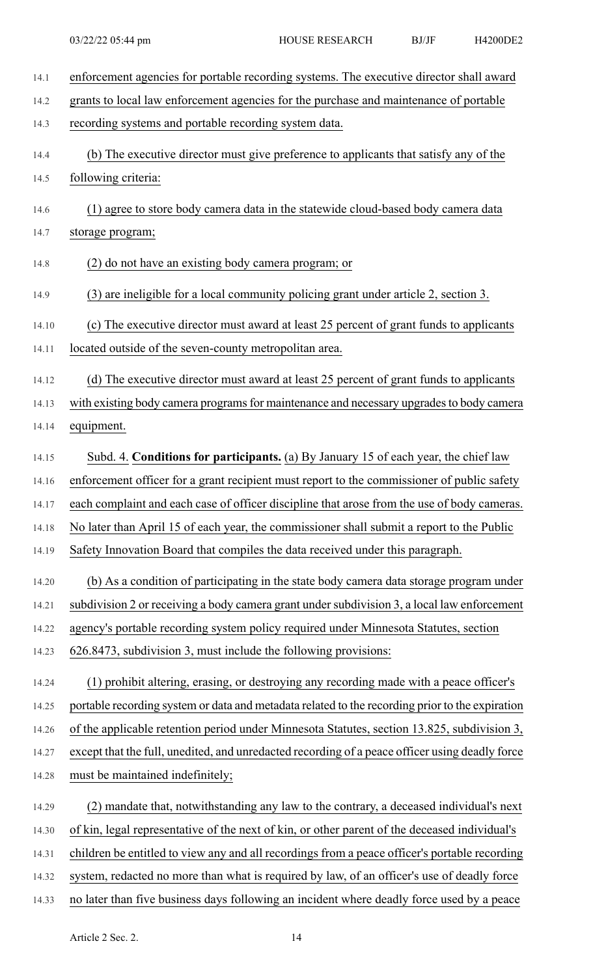| 14.1  | enforcement agencies for portable recording systems. The executive director shall award         |
|-------|-------------------------------------------------------------------------------------------------|
| 14.2  | grants to local law enforcement agencies for the purchase and maintenance of portable           |
| 14.3  | recording systems and portable recording system data.                                           |
| 14.4  | (b) The executive director must give preference to applicants that satisfy any of the           |
| 14.5  | following criteria:                                                                             |
| 14.6  | (1) agree to store body camera data in the statewide cloud-based body camera data               |
| 14.7  | storage program;                                                                                |
| 14.8  | (2) do not have an existing body camera program; or                                             |
| 14.9  | (3) are ineligible for a local community policing grant under article 2, section 3.             |
| 14.10 | (c) The executive director must award at least 25 percent of grant funds to applicants          |
| 14.11 | located outside of the seven-county metropolitan area.                                          |
| 14.12 | (d) The executive director must award at least 25 percent of grant funds to applicants          |
| 14.13 | with existing body camera programs for maintenance and necessary upgrades to body camera        |
| 14.14 | equipment.                                                                                      |
| 14.15 | Subd. 4. Conditions for participants. (a) By January 15 of each year, the chief law             |
| 14.16 | enforcement officer for a grant recipient must report to the commissioner of public safety      |
| 14.17 | each complaint and each case of officer discipline that arose from the use of body cameras.     |
| 14.18 | No later than April 15 of each year, the commissioner shall submit a report to the Public       |
| 14.19 | Safety Innovation Board that compiles the data received under this paragraph.                   |
| 14.20 | (b) As a condition of participating in the state body camera data storage program under         |
| 14.21 | subdivision 2 or receiving a body camera grant under subdivision 3, a local law enforcement     |
| 14.22 | agency's portable recording system policy required under Minnesota Statutes, section            |
| 14.23 | 626.8473, subdivision 3, must include the following provisions:                                 |
| 14.24 | (1) prohibit altering, erasing, or destroying any recording made with a peace officer's         |
| 14.25 | portable recording system or data and metadata related to the recording prior to the expiration |
| 14.26 | of the applicable retention period under Minnesota Statutes, section 13.825, subdivision 3,     |
| 14.27 | except that the full, unedited, and unredacted recording of a peace officer using deadly force  |
| 14.28 | must be maintained indefinitely;                                                                |
| 14.29 | (2) mandate that, notwithstanding any law to the contrary, a deceased individual's next         |
| 14.30 | of kin, legal representative of the next of kin, or other parent of the deceased individual's   |
| 14.31 | children be entitled to view any and all recordings from a peace officer's portable recording   |
| 14.32 | system, redacted no more than what is required by law, of an officer's use of deadly force      |
| 14.33 | no later than five business days following an incident where deadly force used by a peace       |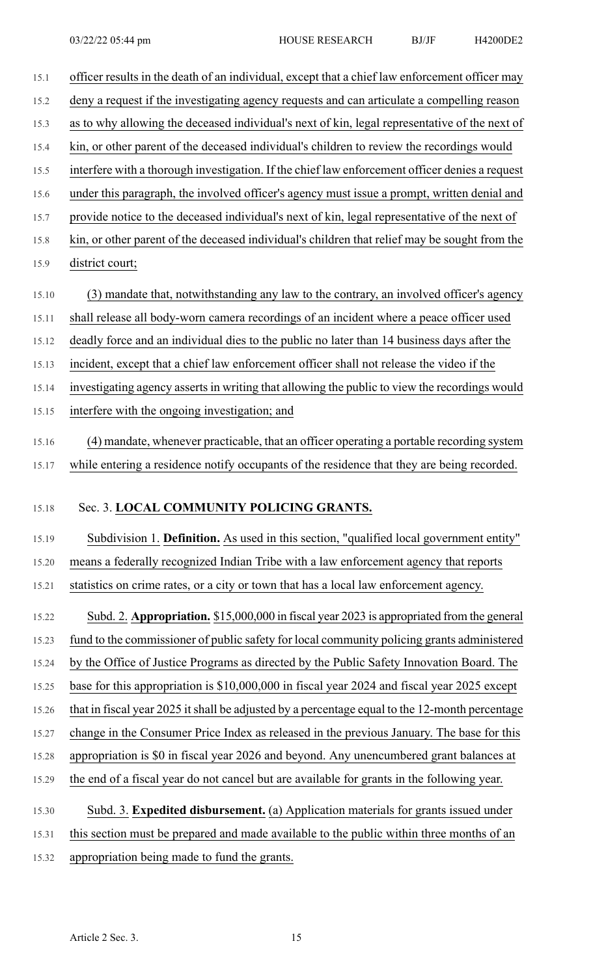| 15.1  | officer results in the death of an individual, except that a chief law enforcement officer may |
|-------|------------------------------------------------------------------------------------------------|
| 15.2  | deny a request if the investigating agency requests and can articulate a compelling reason     |
| 15.3  | as to why allowing the deceased individual's next of kin, legal representative of the next of  |
| 15.4  | kin, or other parent of the deceased individual's children to review the recordings would      |
| 15.5  | interfere with a thorough investigation. If the chief law enforcement officer denies a request |
| 15.6  | under this paragraph, the involved officer's agency must issue a prompt, written denial and    |
| 15.7  | provide notice to the deceased individual's next of kin, legal representative of the next of   |
| 15.8  | kin, or other parent of the deceased individual's children that relief may be sought from the  |
| 15.9  | district court;                                                                                |
| 15.10 | (3) mandate that, notwithstanding any law to the contrary, an involved officer's agency        |
| 15.11 | shall release all body-worn camera recordings of an incident where a peace officer used        |
| 15.12 | deadly force and an individual dies to the public no later than 14 business days after the     |
| 15.13 | incident, except that a chief law enforcement officer shall not release the video if the       |
| 15.14 | investigating agency asserts in writing that allowing the public to view the recordings would  |
| 15.15 | interfere with the ongoing investigation; and                                                  |
| 15.16 | (4) mandate, whenever practicable, that an officer operating a portable recording system       |
| 15.17 | while entering a residence notify occupants of the residence that they are being recorded.     |
|       |                                                                                                |
| 15.18 | Sec. 3. LOCAL COMMUNITY POLICING GRANTS.                                                       |
| 15.19 | Subdivision 1. Definition. As used in this section, "qualified local government entity"        |
| 15.20 | means a federally recognized Indian Tribe with a law enforcement agency that reports           |
| 15.21 | statistics on crime rates, or a city or town that has a local law enforcement agency.          |
| 15.22 | Subd. 2. Appropriation. \$15,000,000 in fiscal year 2023 is appropriated from the general      |
| 15.23 | fund to the commissioner of public safety for local community policing grants administered     |
| 15.24 | by the Office of Justice Programs as directed by the Public Safety Innovation Board. The       |
| 15.25 | base for this appropriation is \$10,000,000 in fiscal year 2024 and fiscal year 2025 except    |
| 15.26 | that in fiscal year 2025 it shall be adjusted by a percentage equal to the 12-month percentage |
| 15.27 | change in the Consumer Price Index as released in the previous January. The base for this      |
| 15.28 | appropriation is \$0 in fiscal year 2026 and beyond. Any unencumbered grant balances at        |
| 15.29 | the end of a fiscal year do not cancel but are available for grants in the following year.     |
| 15.30 | Subd. 3. Expedited disbursement. (a) Application materials for grants issued under             |
| 15.31 | this section must be prepared and made available to the public within three months of an       |
| 15.32 | appropriation being made to fund the grants.                                                   |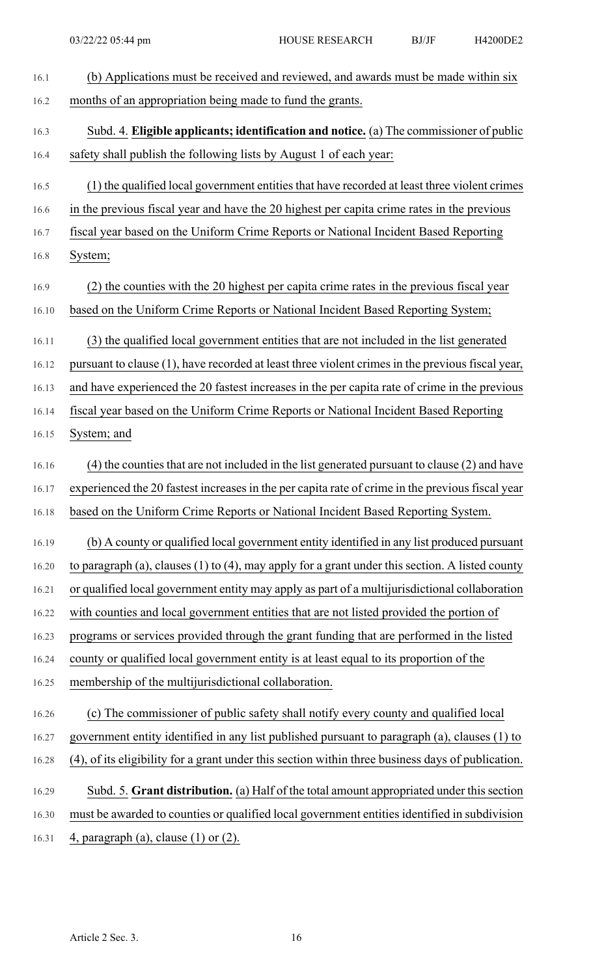| 16.1  | (b) Applications must be received and reviewed, and awards must be made within six                   |
|-------|------------------------------------------------------------------------------------------------------|
| 16.2  | months of an appropriation being made to fund the grants.                                            |
| 16.3  | Subd. 4. Eligible applicants; identification and notice. (a) The commissioner of public              |
| 16.4  | safety shall publish the following lists by August 1 of each year:                                   |
| 16.5  | (1) the qualified local government entities that have recorded at least three violent crimes         |
| 16.6  | in the previous fiscal year and have the 20 highest per capita crime rates in the previous           |
| 16.7  | fiscal year based on the Uniform Crime Reports or National Incident Based Reporting                  |
| 16.8  | System;                                                                                              |
| 16.9  | (2) the counties with the 20 highest per capita crime rates in the previous fiscal year              |
| 16.10 | based on the Uniform Crime Reports or National Incident Based Reporting System;                      |
| 16.11 | (3) the qualified local government entities that are not included in the list generated              |
| 16.12 | pursuant to clause (1), have recorded at least three violent crimes in the previous fiscal year,     |
| 16.13 | and have experienced the 20 fastest increases in the per capita rate of crime in the previous        |
| 16.14 | fiscal year based on the Uniform Crime Reports or National Incident Based Reporting                  |
| 16.15 | System; and                                                                                          |
| 16.16 | (4) the counties that are not included in the list generated pursuant to clause (2) and have         |
| 16.17 | experienced the 20 fastest increases in the per capita rate of crime in the previous fiscal year     |
| 16.18 | based on the Uniform Crime Reports or National Incident Based Reporting System.                      |
| 16.19 | (b) A county or qualified local government entity identified in any list produced pursuant           |
| 16.20 | to paragraph (a), clauses $(1)$ to $(4)$ , may apply for a grant under this section. A listed county |
| 16.21 | or qualified local government entity may apply as part of a multijurisdictional collaboration        |
| 16.22 | with counties and local government entities that are not listed provided the portion of              |
| 16.23 | programs or services provided through the grant funding that are performed in the listed             |
| 16.24 | county or qualified local government entity is at least equal to its proportion of the               |
| 16.25 | membership of the multijurisdictional collaboration.                                                 |
| 16.26 | (c) The commissioner of public safety shall notify every county and qualified local                  |
| 16.27 | government entity identified in any list published pursuant to paragraph (a), clauses (1) to         |
| 16.28 | (4), of its eligibility for a grant under this section within three business days of publication.    |
| 16.29 | Subd. 5. Grant distribution. (a) Half of the total amount appropriated under this section            |
| 16.30 | must be awarded to counties or qualified local government entities identified in subdivision         |
| 16.31 | 4, paragraph (a), clause $(1)$ or $(2)$ .                                                            |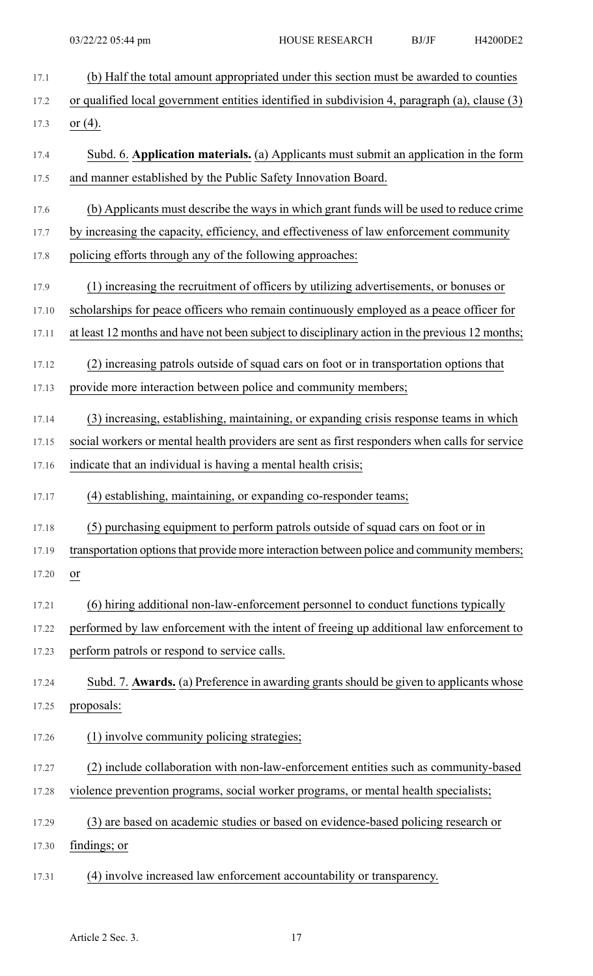| 17.1  | (b) Half the total amount appropriated under this section must be awarded to counties          |
|-------|------------------------------------------------------------------------------------------------|
| 17.2  | or qualified local government entities identified in subdivision 4, paragraph (a), clause (3)  |
| 17.3  | <u>or <math>(4)</math></u> .                                                                   |
| 17.4  | Subd. 6. Application materials. (a) Applicants must submit an application in the form          |
| 17.5  | and manner established by the Public Safety Innovation Board.                                  |
| 17.6  | (b) Applicants must describe the ways in which grant funds will be used to reduce crime        |
| 17.7  | by increasing the capacity, efficiency, and effectiveness of law enforcement community         |
| 17.8  | policing efforts through any of the following approaches:                                      |
| 17.9  | (1) increasing the recruitment of officers by utilizing advertisements, or bonuses or          |
| 17.10 | scholarships for peace officers who remain continuously employed as a peace officer for        |
| 17.11 | at least 12 months and have not been subject to disciplinary action in the previous 12 months; |
| 17.12 | (2) increasing patrols outside of squad cars on foot or in transportation options that         |
| 17.13 | provide more interaction between police and community members;                                 |
| 17.14 | (3) increasing, establishing, maintaining, or expanding crisis response teams in which         |
| 17.15 | social workers or mental health providers are sent as first responders when calls for service  |
| 17.16 | indicate that an individual is having a mental health crisis;                                  |
| 17.17 | (4) establishing, maintaining, or expanding co-responder teams;                                |
| 17.18 | (5) purchasing equipment to perform patrols outside of squad cars on foot or in                |
| 17.19 | transportation options that provide more interaction between police and community members;     |
| 17.20 | or                                                                                             |
| 17.21 | (6) hiring additional non-law-enforcement personnel to conduct functions typically             |
| 17.22 | performed by law enforcement with the intent of freeing up additional law enforcement to       |
| 17.23 | perform patrols or respond to service calls.                                                   |
| 17.24 | Subd. 7. Awards. (a) Preference in awarding grants should be given to applicants whose         |
| 17.25 | proposals:                                                                                     |
| 17.26 | (1) involve community policing strategies;                                                     |
| 17.27 | (2) include collaboration with non-law-enforcement entities such as community-based            |
| 17.28 | violence prevention programs, social worker programs, or mental health specialists;            |
| 17.29 | (3) are based on academic studies or based on evidence-based policing research or              |
| 17.30 | findings; or                                                                                   |
| 17.31 | (4) involve increased law enforcement accountability or transparency.                          |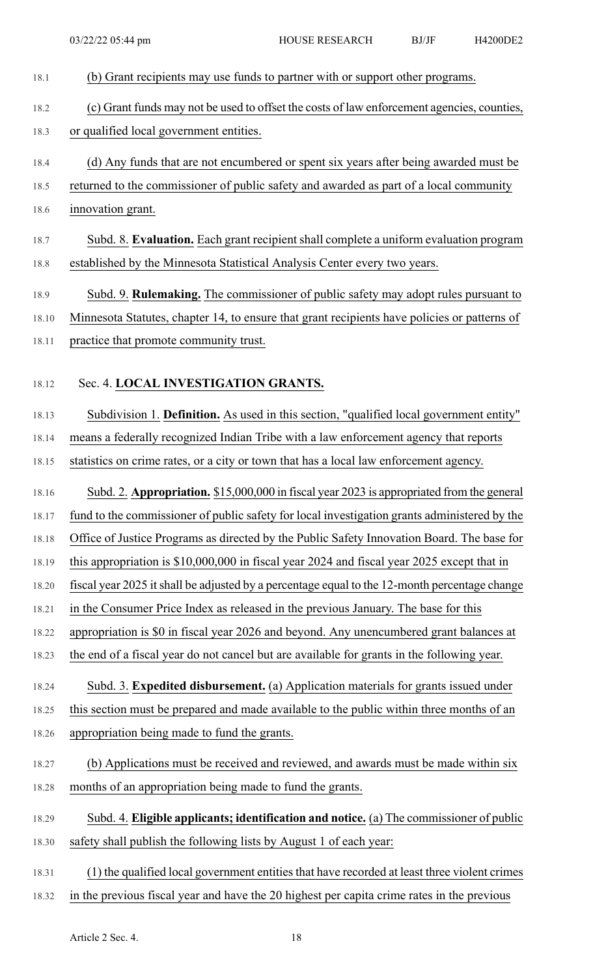| 18.1  | (b) Grant recipients may use funds to partner with or support other programs.                 |
|-------|-----------------------------------------------------------------------------------------------|
| 18.2  | (c) Grant funds may not be used to offset the costs of law enforcement agencies, counties,    |
| 18.3  | or qualified local government entities.                                                       |
| 18.4  | (d) Any funds that are not encumbered or spent six years after being awarded must be          |
| 18.5  | returned to the commissioner of public safety and awarded as part of a local community        |
| 18.6  | innovation grant.                                                                             |
| 18.7  | Subd. 8. Evaluation. Each grant recipient shall complete a uniform evaluation program         |
| 18.8  | established by the Minnesota Statistical Analysis Center every two years.                     |
| 18.9  | Subd. 9. <b>Rulemaking.</b> The commissioner of public safety may adopt rules pursuant to     |
| 18.10 | Minnesota Statutes, chapter 14, to ensure that grant recipients have policies or patterns of  |
| 18.11 | practice that promote community trust.                                                        |
| 18.12 | Sec. 4. LOCAL INVESTIGATION GRANTS.                                                           |
| 18.13 | Subdivision 1. Definition. As used in this section, "qualified local government entity"       |
| 18.14 | means a federally recognized Indian Tribe with a law enforcement agency that reports          |
| 18.15 | statistics on crime rates, or a city or town that has a local law enforcement agency.         |
| 18.16 | Subd. 2. Appropriation. \$15,000,000 in fiscal year 2023 is appropriated from the general     |
| 18.17 | fund to the commissioner of public safety for local investigation grants administered by the  |
| 18.18 | Office of Justice Programs as directed by the Public Safety Innovation Board. The base for    |
| 18.19 | this appropriation is $$10,000,000$ in fiscal year 2024 and fiscal year 2025 except that in   |
| 18.20 | fiscal year 2025 it shall be adjusted by a percentage equal to the 12-month percentage change |
| 18.21 | in the Consumer Price Index as released in the previous January. The base for this            |
| 18.22 | appropriation is \$0 in fiscal year 2026 and beyond. Any unencumbered grant balances at       |
| 18.23 | the end of a fiscal year do not cancel but are available for grants in the following year.    |
| 18.24 | Subd. 3. Expedited disbursement. (a) Application materials for grants issued under            |
| 18.25 | this section must be prepared and made available to the public within three months of an      |
| 18.26 | appropriation being made to fund the grants.                                                  |
| 18.27 | (b) Applications must be received and reviewed, and awards must be made within six            |
| 18.28 | months of an appropriation being made to fund the grants.                                     |
| 18.29 | Subd. 4. Eligible applicants; identification and notice. (a) The commissioner of public       |
| 18.30 | safety shall publish the following lists by August 1 of each year:                            |
| 18.31 | (1) the qualified local government entities that have recorded at least three violent crimes  |
| 18.32 | in the previous fiscal year and have the 20 highest per capita crime rates in the previous    |
|       |                                                                                               |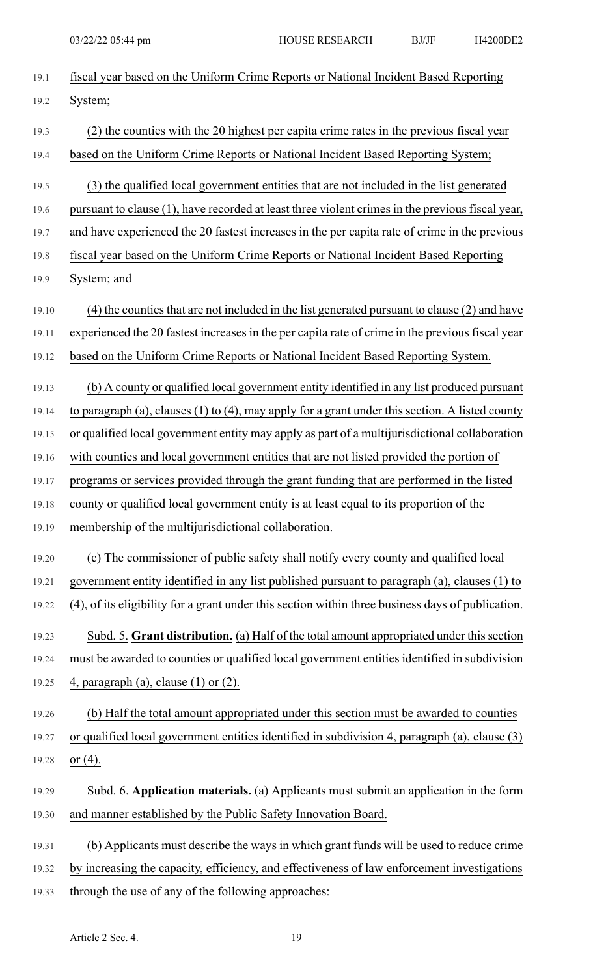| 19.1  | fiscal year based on the Uniform Crime Reports or National Incident Based Reporting                  |
|-------|------------------------------------------------------------------------------------------------------|
| 19.2  | System;                                                                                              |
| 19.3  | (2) the counties with the 20 highest per capita crime rates in the previous fiscal year              |
| 19.4  | based on the Uniform Crime Reports or National Incident Based Reporting System;                      |
| 19.5  | (3) the qualified local government entities that are not included in the list generated              |
| 19.6  | pursuant to clause (1), have recorded at least three violent crimes in the previous fiscal year,     |
| 19.7  | and have experienced the 20 fastest increases in the per capita rate of crime in the previous        |
| 19.8  | fiscal year based on the Uniform Crime Reports or National Incident Based Reporting                  |
| 19.9  | System; and                                                                                          |
| 19.10 | (4) the counties that are not included in the list generated pursuant to clause (2) and have         |
| 19.11 | experienced the 20 fastest increases in the per capita rate of crime in the previous fiscal year     |
| 19.12 | based on the Uniform Crime Reports or National Incident Based Reporting System.                      |
| 19.13 | (b) A county or qualified local government entity identified in any list produced pursuant           |
| 19.14 | to paragraph (a), clauses $(1)$ to $(4)$ , may apply for a grant under this section. A listed county |
| 19.15 | or qualified local government entity may apply as part of a multijurisdictional collaboration        |
| 19.16 | with counties and local government entities that are not listed provided the portion of              |
| 19.17 | programs or services provided through the grant funding that are performed in the listed             |
| 19.18 | county or qualified local government entity is at least equal to its proportion of the               |
| 19.19 | membership of the multijurisdictional collaboration.                                                 |
| 19.20 | (c) The commissioner of public safety shall notify every county and qualified local                  |
| 19.21 | government entity identified in any list published pursuant to paragraph (a), clauses (1) to         |
| 19.22 | (4), of its eligibility for a grant under this section within three business days of publication.    |
| 19.23 | Subd. 5. Grant distribution. (a) Half of the total amount appropriated under this section            |
| 19.24 | must be awarded to counties or qualified local government entities identified in subdivision         |
| 19.25 | 4, paragraph (a), clause $(1)$ or $(2)$ .                                                            |
| 19.26 | (b) Half the total amount appropriated under this section must be awarded to counties                |
| 19.27 | or qualified local government entities identified in subdivision 4, paragraph (a), clause (3)        |
| 19.28 | or $(4)$ .                                                                                           |
| 19.29 | Subd. 6. Application materials. (a) Applicants must submit an application in the form                |
| 19.30 | and manner established by the Public Safety Innovation Board.                                        |
| 19.31 | (b) Applicants must describe the ways in which grant funds will be used to reduce crime              |
| 19.32 | by increasing the capacity, efficiency, and effectiveness of law enforcement investigations          |
| 19.33 | through the use of any of the following approaches:                                                  |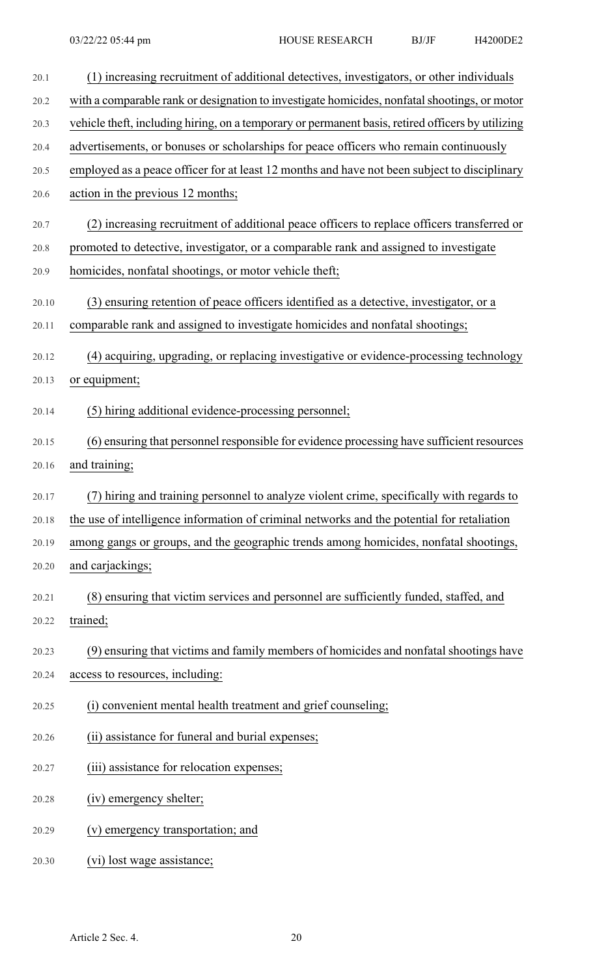| 20.1  | (1) increasing recruitment of additional detectives, investigators, or other individuals          |
|-------|---------------------------------------------------------------------------------------------------|
| 20.2  | with a comparable rank or designation to investigate homicides, nonfatal shootings, or motor      |
| 20.3  | vehicle theft, including hiring, on a temporary or permanent basis, retired officers by utilizing |
| 20.4  | advertisements, or bonuses or scholarships for peace officers who remain continuously             |
| 20.5  | employed as a peace officer for at least 12 months and have not been subject to disciplinary      |
| 20.6  | action in the previous 12 months;                                                                 |
| 20.7  | (2) increasing recruitment of additional peace officers to replace officers transferred or        |
| 20.8  | promoted to detective, investigator, or a comparable rank and assigned to investigate             |
| 20.9  | homicides, nonfatal shootings, or motor vehicle theft;                                            |
| 20.10 | (3) ensuring retention of peace officers identified as a detective, investigator, or a            |
| 20.11 | comparable rank and assigned to investigate homicides and nonfatal shootings;                     |
| 20.12 | (4) acquiring, upgrading, or replacing investigative or evidence-processing technology            |
| 20.13 | or equipment;                                                                                     |
| 20.14 | (5) hiring additional evidence-processing personnel;                                              |
| 20.15 | (6) ensuring that personnel responsible for evidence processing have sufficient resources         |
| 20.16 | and training;                                                                                     |
| 20.17 | (7) hiring and training personnel to analyze violent crime, specifically with regards to          |
| 20.18 | the use of intelligence information of criminal networks and the potential for retaliation        |
| 20.19 | among gangs or groups, and the geographic trends among homicides, nonfatal shootings,             |
| 20.20 | and carjackings;                                                                                  |
| 20.21 | (8) ensuring that victim services and personnel are sufficiently funded, staffed, and             |
| 20.22 | trained;                                                                                          |
| 20.23 | (9) ensuring that victims and family members of homicides and nonfatal shootings have             |
| 20.24 | access to resources, including:                                                                   |
| 20.25 | (i) convenient mental health treatment and grief counseling;                                      |
| 20.26 | (ii) assistance for funeral and burial expenses;                                                  |
| 20.27 | (iii) assistance for relocation expenses;                                                         |
| 20.28 | (iv) emergency shelter;                                                                           |
| 20.29 | (v) emergency transportation; and                                                                 |
| 20.30 | (vi) lost wage assistance;                                                                        |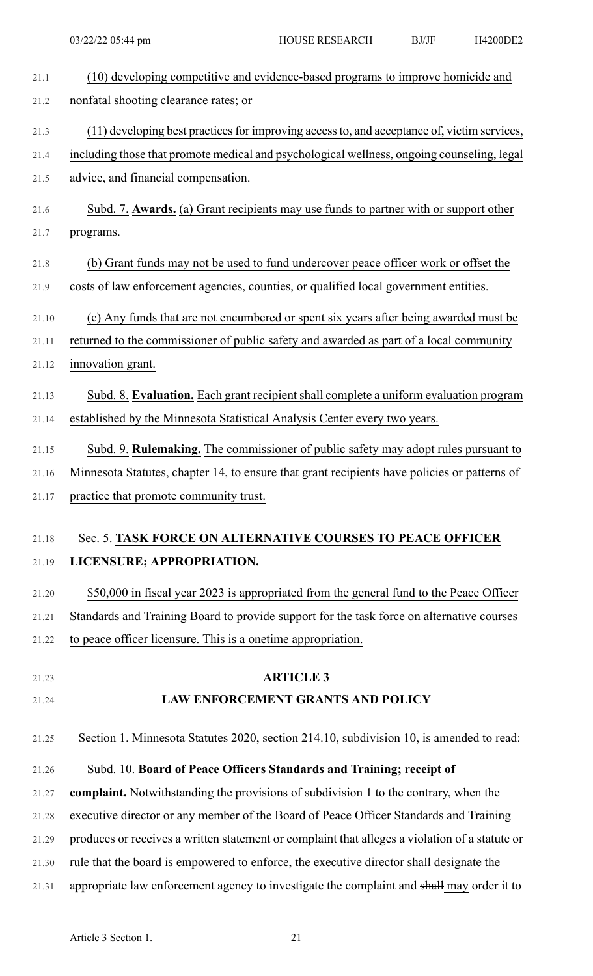| 21.1  | (10) developing competitive and evidence-based programs to improve homicide and                |
|-------|------------------------------------------------------------------------------------------------|
| 21.2  | nonfatal shooting clearance rates; or                                                          |
| 21.3  | (11) developing best practices for improving access to, and acceptance of, victim services,    |
| 21.4  | including those that promote medical and psychological wellness, ongoing counseling, legal     |
| 21.5  | advice, and financial compensation.                                                            |
| 21.6  | Subd. 7. Awards. (a) Grant recipients may use funds to partner with or support other           |
| 21.7  | programs.                                                                                      |
| 21.8  | (b) Grant funds may not be used to fund undercover peace officer work or offset the            |
| 21.9  | costs of law enforcement agencies, counties, or qualified local government entities.           |
| 21.10 | (c) Any funds that are not encumbered or spent six years after being awarded must be           |
| 21.11 | returned to the commissioner of public safety and awarded as part of a local community         |
| 21.12 | innovation grant.                                                                              |
| 21.13 | Subd. 8. Evaluation. Each grant recipient shall complete a uniform evaluation program          |
| 21.14 | established by the Minnesota Statistical Analysis Center every two years.                      |
| 21.15 | Subd. 9. Rulemaking. The commissioner of public safety may adopt rules pursuant to             |
| 21.16 | Minnesota Statutes, chapter 14, to ensure that grant recipients have policies or patterns of   |
| 21.17 | practice that promote community trust.                                                         |
| 21.18 | Sec. 5. TASK FORCE ON ALTERNATIVE COURSES TO PEACE OFFICER                                     |
| 21.19 | LICENSURE; APPROPRIATION.                                                                      |
| 21.20 | \$50,000 in fiscal year 2023 is appropriated from the general fund to the Peace Officer        |
| 21.21 | Standards and Training Board to provide support for the task force on alternative courses      |
| 21.22 | to peace officer licensure. This is a onetime appropriation.                                   |
| 21.23 | <b>ARTICLE 3</b>                                                                               |
| 21.24 | <b>LAW ENFORCEMENT GRANTS AND POLICY</b>                                                       |
|       |                                                                                                |
| 21.25 | Section 1. Minnesota Statutes 2020, section 214.10, subdivision 10, is amended to read:        |
| 21.26 | Subd. 10. Board of Peace Officers Standards and Training; receipt of                           |
| 21.27 | complaint. Notwithstanding the provisions of subdivision 1 to the contrary, when the           |
| 21.28 | executive director or any member of the Board of Peace Officer Standards and Training          |
| 21.29 | produces or receives a written statement or complaint that alleges a violation of a statute or |
| 21.30 | rule that the board is empowered to enforce, the executive director shall designate the        |
| 21.31 | appropriate law enforcement agency to investigate the complaint and shall may order it to      |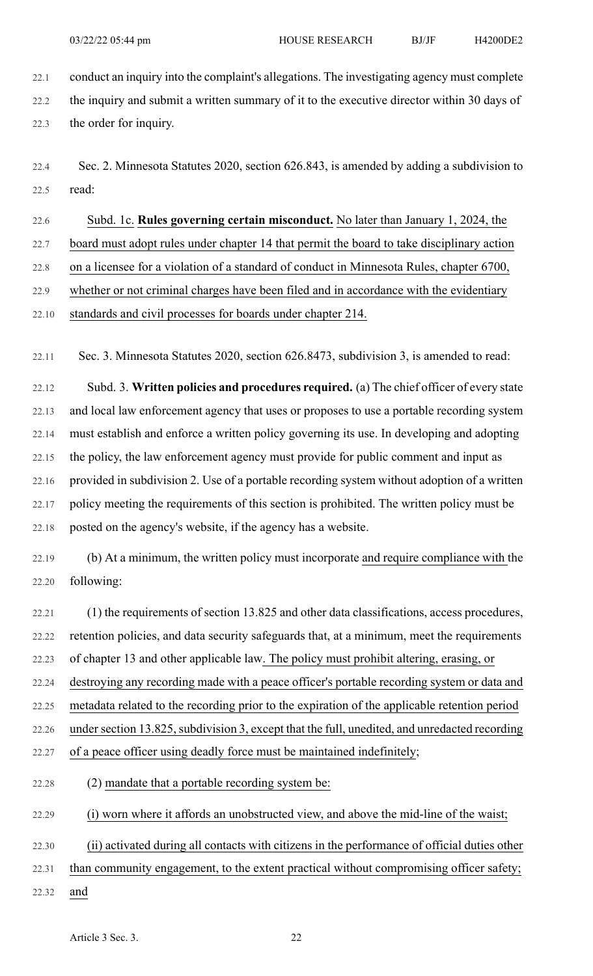22.1 conduct an inquiry into the complaint's allegations. The investigating agency must complete 22.2 the inquiry and submit a written summary of it to the executive director within 30 days of 22.3 the order for inquiry.

22.4 Sec. 2. Minnesota Statutes 2020, section 626.843, is amended by adding a subdivision to 22.5 read:

22.6 Subd. 1c. **Rules governing certain misconduct.** No later than January 1, 2024, the

22.7 board must adopt rules under chapter 14 that permit the board to take disciplinary action

22.8 on a licensee for a violation of a standard of conduct in Minnesota Rules, chapter 6700,

22.9 whether or not criminal charges have been filed and in accordance with the evidentiary

22.10 standards and civil processes for boards under chapter 214.

22.11 Sec. 3. Minnesota Statutes 2020, section 626.8473, subdivision 3, is amended to read:

22.12 Subd. 3. **Written policies and procedures required.** (a) The chief officer of every state 22.13 and local law enforcement agency that uses or proposes to use a portable recording system 22.14 must establish and enforce a written policy governing its use. In developing and adopting 22.15 the policy, the law enforcement agency must provide for public comment and input as 22.16 provided in subdivision 2. Use of a portable recording system without adoption of a written 22.17 policy meeting the requirements of this section is prohibited. The written policy must be 22.18 posted on the agency's website, if the agency has a website.

22.19 (b) At a minimum, the written policy must incorporate and require compliance with the 22.20 following:

22.21 (1) the requirements of section 13.825 and other data classifications, access procedures, 22.22 retention policies, and data security safeguards that, at a minimum, meet the requirements 22.23 of chapter 13 and other applicable law. The policy must prohibit altering, erasing, or 22.24 destroying any recording made with a peace officer's portable recording system or data and 22.25 metadata related to the recording prior to the expiration of the applicable retention period 22.26 under section 13.825, subdivision 3, except that the full, unedited, and unredacted recording 22.27 of a peace officer using deadly force must be maintained indefinitely;

22.28 (2) mandate that a portable recording system be:

22.29 (i) worn where it affords an unobstructed view, and above the mid-line of the waist;

22.30 (ii) activated during all contacts with citizens in the performance of official duties other

- 22.31 than community engagement, to the extent practical without compromising officer safety;
- 22.32 and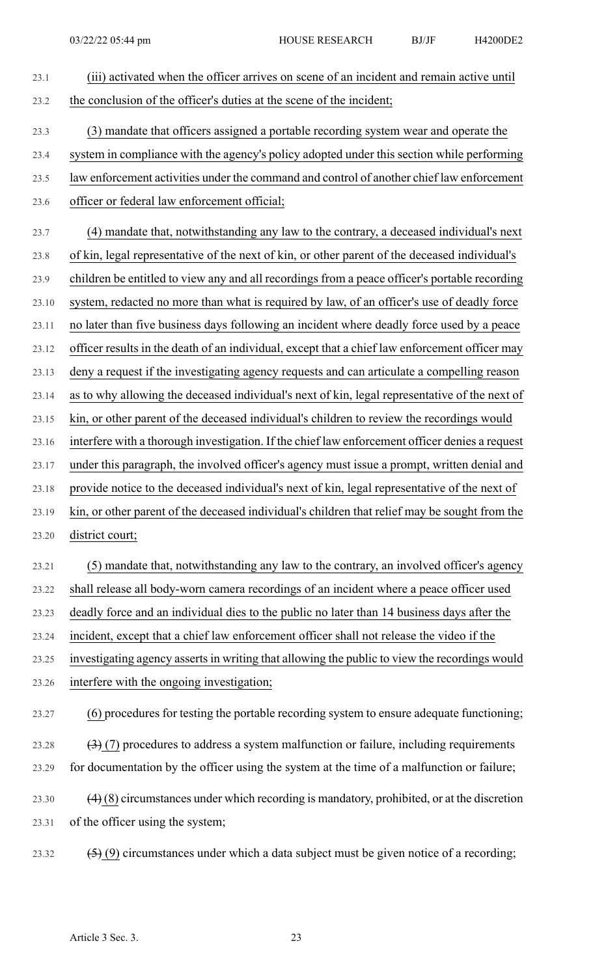23.1 (iii) activated when the officer arrives on scene of an incident and remain active until 23.2 the conclusion of the officer's duties at the scene of the incident; 23.3 (3) mandate that officers assigned a portable recording system wear and operate the 23.4 system in compliance with the agency's policy adopted under this section while performing 23.5 law enforcement activities under the command and control of another chief law enforcement 23.6 officer or federal law enforcement official; 23.7 (4) mandate that, notwithstanding any law to the contrary, a deceased individual's next 23.8 of kin, legal representative of the next of kin, or other parent of the deceased individual's 23.9 children be entitled to view any and all recordings from a peace officer's portable recording 23.10 system, redacted no more than what is required by law, of an officer's use of deadly force 23.11 no later than five business days following an incident where deadly force used by a peace 23.12 officer results in the death of an individual, except that a chief law enforcement officer may 23.13 deny a request if the investigating agency requests and can articulate a compelling reason 23.14 as to why allowing the deceased individual's next of kin, legal representative of the next of 23.15 kin, or other parent of the deceased individual's children to review the recordings would 23.16 interfere with a thorough investigation. If the chief law enforcement officer denies a request 23.17 under this paragraph, the involved officer's agency must issue a prompt, written denial and 23.18 provide notice to the deceased individual's next of kin, legal representative of the next of 23.19 kin, or other parent of the deceased individual's children that relief may be sought from the 23.20 district court; 23.21 (5) mandate that, notwithstanding any law to the contrary, an involved officer's agency 23.22 shall release all body-worn camera recordings of an incident where a peace officer used 23.23 deadly force and an individual dies to the public no later than 14 business days after the 23.24 incident, except that a chief law enforcement officer shall not release the video if the 23.25 investigating agency asserts in writing that allowing the public to view the recordings would 23.26 interfere with the ongoing investigation; 23.27 (6) procedures for testing the portable recording system to ensure adequate functioning; 23.28  $(3)$  (7) procedures to address a system malfunction or failure, including requirements 23.29 for documentation by the officer using the system at the time of a malfunction or failure; 23.30  $(4)$  (8) circumstances under which recording is mandatory, prohibited, or at the discretion 23.31 of the officer using the system; 23.32  $(5)(9)$  circumstances under which a data subject must be given notice of a recording;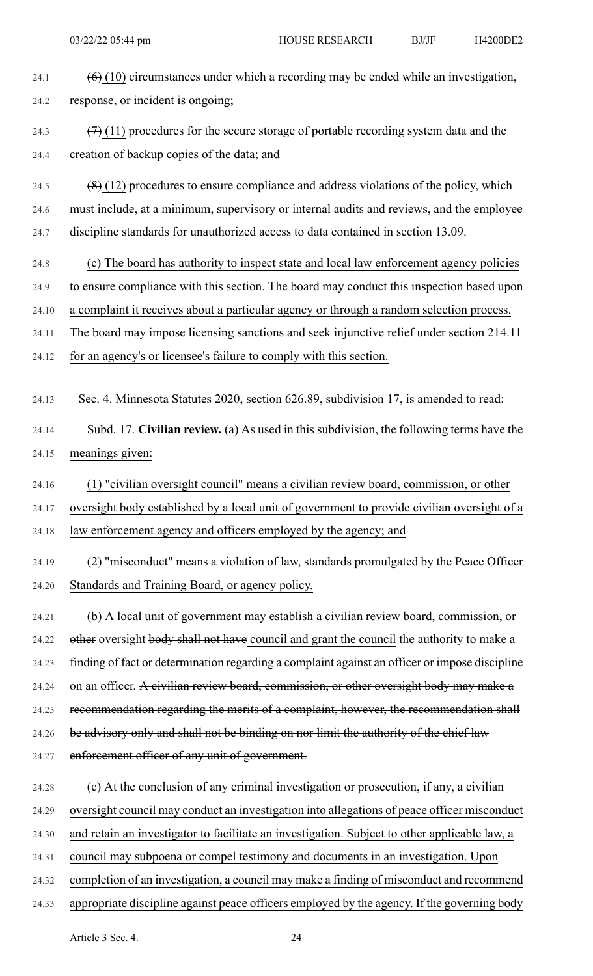| 24.1  | $(6)$ (10) circumstances under which a recording may be ended while an investigation,          |
|-------|------------------------------------------------------------------------------------------------|
| 24.2  | response, or incident is ongoing;                                                              |
| 24.3  | $(7)$ (11) procedures for the secure storage of portable recording system data and the         |
| 24.4  | creation of backup copies of the data; and                                                     |
| 24.5  | $(8)$ (12) procedures to ensure compliance and address violations of the policy, which         |
| 24.6  | must include, at a minimum, supervisory or internal audits and reviews, and the employee       |
| 24.7  | discipline standards for unauthorized access to data contained in section 13.09.               |
| 24.8  | (c) The board has authority to inspect state and local law enforcement agency policies         |
| 24.9  | to ensure compliance with this section. The board may conduct this inspection based upon       |
| 24.10 | a complaint it receives about a particular agency or through a random selection process.       |
| 24.11 | The board may impose licensing sanctions and seek injunctive relief under section 214.11       |
| 24.12 | for an agency's or licensee's failure to comply with this section.                             |
| 24.13 | Sec. 4. Minnesota Statutes 2020, section 626.89, subdivision 17, is amended to read:           |
| 24.14 | Subd. 17. Civilian review. (a) As used in this subdivision, the following terms have the       |
| 24.15 | meanings given:                                                                                |
| 24.16 | (1) "civilian oversight council" means a civilian review board, commission, or other           |
| 24.17 | oversight body established by a local unit of government to provide civilian oversight of a    |
| 24.18 | law enforcement agency and officers employed by the agency; and                                |
| 24.19 | (2) "misconduct" means a violation of law, standards promulgated by the Peace Officer          |
| 24.20 | Standards and Training Board, or agency policy.                                                |
| 24.21 | (b) A local unit of government may establish a civilian review board, commission, or           |
| 24.22 | other oversight body shall not have council and grant the council the authority to make a      |
| 24.23 | finding of fact or determination regarding a complaint against an officer or impose discipline |
| 24.24 | on an officer. A civilian review board, commission, or other oversight body may make a         |
| 24.25 | recommendation regarding the merits of a complaint, however, the recommendation shall          |
| 24.26 | be advisory only and shall not be binding on nor limit the authority of the chief law          |
| 24.27 | enforcement officer of any unit of government.                                                 |
| 24.28 | (c) At the conclusion of any criminal investigation or prosecution, if any, a civilian         |
| 24.29 | oversight council may conduct an investigation into allegations of peace officer misconduct    |
| 24.30 | and retain an investigator to facilitate an investigation. Subject to other applicable law, a  |
| 24.31 | council may subpoena or compel testimony and documents in an investigation. Upon               |
| 24.32 | completion of an investigation, a council may make a finding of misconduct and recommend       |
| 24.33 | appropriate discipline against peace officers employed by the agency. If the governing body    |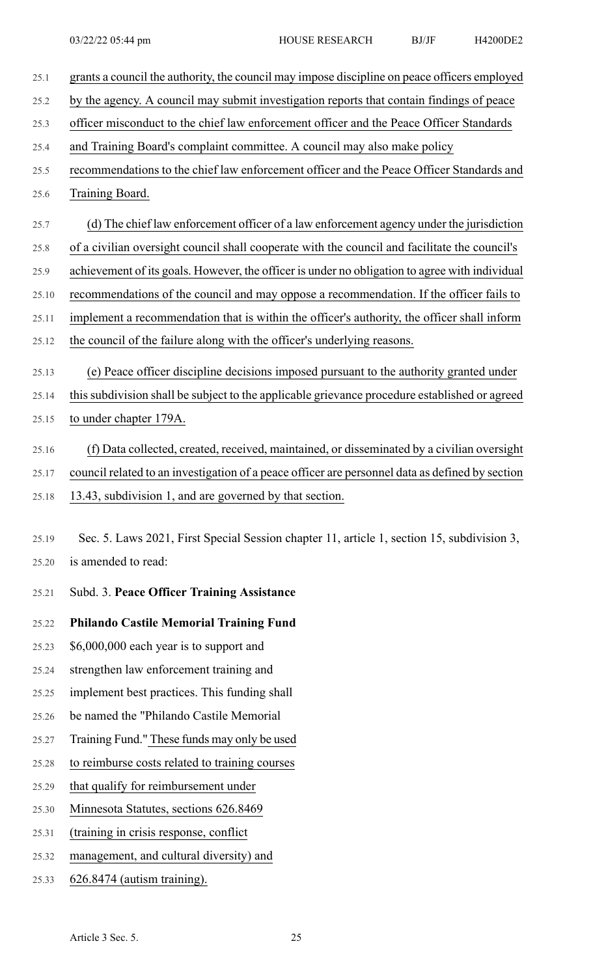25.1 grants a council the authority, the council may impose discipline on peace officers employed 25.2 by the agency. A council may submit investigation reports that contain findings of peace 25.3 officer misconduct to the chief law enforcement officer and the Peace Officer Standards 25.4 and Training Board's complaint committee. A council may also make policy 25.5 recommendations to the chief law enforcement officer and the Peace Officer Standards and 25.6 Training Board. 25.7 (d) The chief law enforcement officer of a law enforcement agency under the jurisdiction 25.8 of a civilian oversight council shall cooperate with the council and facilitate the council's 25.9 achievement of its goals. However, the officer is under no obligation to agree with individual 25.10 recommendations of the council and may oppose a recommendation. If the officer fails to 25.11 implement a recommendation that is within the officer's authority, the officer shall inform 25.12 the council of the failure along with the officer's underlying reasons. 25.13 (e) Peace officer discipline decisions imposed pursuant to the authority granted under 25.14 this subdivision shall be subject to the applicable grievance procedure established or agreed 25.15 to under chapter 179A. 25.16 (f) Data collected, created, received, maintained, or disseminated by a civilian oversight 25.17 council related to an investigation of a peace officer are personnel data as defined by section 25.18 13.43, subdivision 1, and are governed by that section. 25.19 Sec. 5. Laws 2021, First Special Session chapter 11, article 1, section 15, subdivision 3, 25.20 is amended to read: 25.21 Subd. 3. **Peace Officer Training Assistance** 25.22 **Philando Castile Memorial Training Fund** 25.23 \$6,000,000 each year is to support and 25.24 strengthen law enforcement training and 25.25 implement best practices. This funding shall 25.26 be named the "Philando Castile Memorial 25.27 Training Fund." These funds may only be used 25.28 to reimburse costs related to training courses 25.29 that qualify for reimbursement under 25.30 Minnesota Statutes, sections 626.8469 25.31 (training in crisis response, conflict 25.32 management, and cultural diversity) and 25.33 626.8474 (autism training).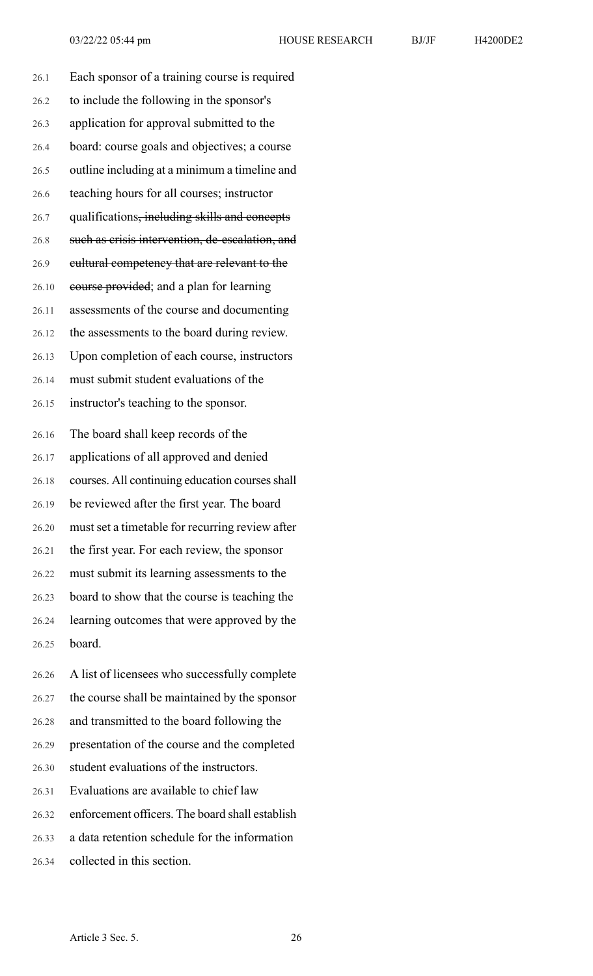| 26.1                             | Each sponsor of a training course is required             |
|----------------------------------|-----------------------------------------------------------|
| 26.2                             | to include the following in the sponsor's                 |
| 26.3                             | application for approval submitted to the                 |
| 26.4                             | board: course goals and objectives; a course              |
| 26.5                             | outline including at a minimum a timeline and             |
| 26.6                             | teaching hours for all courses; instructor                |
| 26.7                             | qualifications <del>, including skills and concepts</del> |
| 26.8                             | such as crisis intervention, de-escalation, and           |
| 26.9                             | eultural competency that are relevant to the              |
| 26.10                            | course provided; and a plan for learning                  |
| 26.11                            | assessments of the course and documenting                 |
| 26.12                            | the assessments to the board during review.               |
| 26.13                            | Upon completion of each course, instructors               |
| 26.14                            | must submit student evaluations of the                    |
| 26.15                            | instructor's teaching to the sponsor.                     |
|                                  |                                                           |
|                                  | The board shall keep records of the                       |
|                                  | applications of all approved and denied                   |
|                                  | courses. All continuing education courses shall           |
| 26.16<br>26.17<br>26.18<br>26.19 | be reviewed after the first year. The board               |
| 26.20                            | must set a timetable for recurring review after           |
| 26.21                            | the first year. For each review, the sponsor              |
| 26.22                            | must submit its learning assessments to the               |
| 26.23                            | board to show that the course is teaching the             |
| 26.24                            | learning outcomes that were approved by the               |
| 26.25                            | board.                                                    |
| 26.26                            | A list of licensees who successfully complete             |

26.28 and transmitted to the board following the

26.29 presentation of the course and the completed

26.30 student evaluations of the instructors.

26.31 Evaluations are available to chief law

26.32 enforcement officers. The board shall establish

26.33 a data retention schedule for the information

26.34 collected in this section.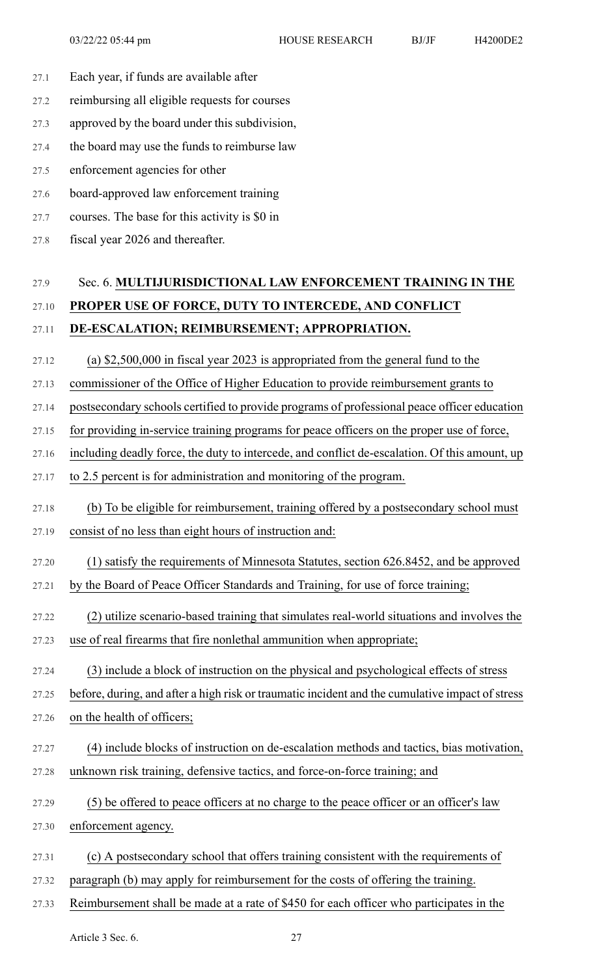- 27.1 Each year, if funds are available after
- 27.2 reimbursing all eligible requests for courses
- 27.3 approved by the board under this subdivision,
- 27.4 the board may use the funds to reimburse law
- 27.5 enforcement agencies for other
- 27.6 board-approved law enforcement training
- 27.7 courses. The base for this activity is \$0 in
- 27.8 fiscal year 2026 and thereafter.

## 27.9 Sec. 6. **MULTIJURISDICTIONAL LAW ENFORCEMENT TRAINING IN THE** 27.10 **PROPER USE OF FORCE, DUTY TO INTERCEDE, AND CONFLICT** 27.11 **DE-ESCALATION; REIMBURSEMENT; APPROPRIATION.**

- 27.12 (a) \$2,500,000 in fiscal year 2023 is appropriated from the general fund to the
- 27.13 commissioner of the Office of Higher Education to provide reimbursement grants to
- 27.14 postsecondary schools certified to provide programs of professional peace officer education
- 27.15 for providing in-service training programs for peace officers on the proper use of force,
- 27.16 including deadly force, the duty to intercede, and conflict de-escalation. Of this amount, up
- 27.17 to 2.5 percent is for administration and monitoring of the program.
- 27.18 (b) To be eligible for reimbursement, training offered by a postsecondary school must 27.19 consist of no less than eight hours of instruction and:
- 27.20 (1) satisfy the requirements of Minnesota Statutes, section 626.8452, and be approved
- 27.21 by the Board of Peace Officer Standards and Training, for use of force training;
- 27.22 (2) utilize scenario-based training that simulates real-world situations and involves the
- 27.23 use of real firearms that fire nonlethal ammunition when appropriate;
- 27.24 (3) include a block of instruction on the physical and psychological effects of stress
- 27.25 before, during, and after a high risk or traumatic incident and the cumulative impact of stress
- 27.26 on the health of officers;
- 27.27 (4) include blocks of instruction on de-escalation methods and tactics, bias motivation, 27.28 unknown risk training, defensive tactics, and force-on-force training; and
- 
- 27.29 (5) be offered to peace officers at no charge to the peace officer or an officer's law 27.30 enforcement agency.
- 27.31 (c) A postsecondary school that offers training consistent with the requirements of
- 27.32 paragraph (b) may apply for reimbursement for the costs of offering the training.
- 27.33 Reimbursement shall be made at a rate of \$450 for each officer who participates in the